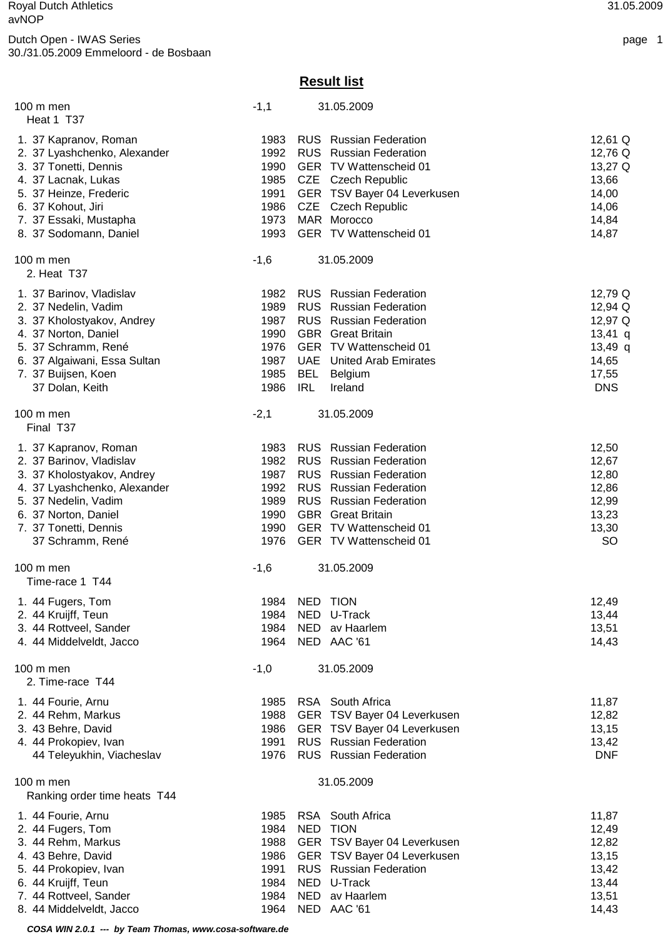## **Result list**

| $100 \text{ m}$ men<br>Heat 1 T37                   | $-1,1$ |               | 31.05.2009                      |            |
|-----------------------------------------------------|--------|---------------|---------------------------------|------------|
|                                                     |        |               |                                 |            |
| 1. 37 Kapranov, Roman                               | 1983   |               | <b>RUS</b> Russian Federation   | 12,61 Q    |
| 2. 37 Lyashchenko, Alexander                        | 1992   |               | <b>RUS</b> Russian Federation   | 12,76 Q    |
| 3. 37 Tonetti, Dennis                               | 1990   |               | GER TV Wattenscheid 01          | 13,27 Q    |
| 4. 37 Lacnak, Lukas                                 | 1985   |               | CZE Czech Republic              | 13,66      |
| 5. 37 Heinze, Frederic                              | 1991   |               | GER TSV Bayer 04 Leverkusen     | 14,00      |
| 6. 37 Kohout, Jiri                                  | 1986   |               | CZE Czech Republic              | 14,06      |
| 7. 37 Essaki, Mustapha                              | 1973   |               | MAR Morocco                     | 14,84      |
| 8. 37 Sodomann, Daniel                              | 1993   |               | GER TV Wattenscheid 01          | 14,87      |
| $100 \text{ m}$ men                                 | $-1,6$ |               | 31.05.2009                      |            |
| 2. Heat T37                                         |        |               |                                 |            |
| 1. 37 Barinov, Vladislav                            | 1982   |               | <b>RUS</b> Russian Federation   | 12,79 Q    |
| 2. 37 Nedelin, Vadim                                | 1989   |               | <b>RUS</b> Russian Federation   | 12,94 Q    |
| 3. 37 Kholostyakov, Andrey                          | 1987   |               | <b>RUS</b> Russian Federation   | 12,97 Q    |
| 4. 37 Norton, Daniel                                | 1990   |               | <b>GBR</b> Great Britain        | $13,41$ q  |
| 5. 37 Schramm, René                                 | 1976   |               | GER TV Wattenscheid 01          | $13,49$ q  |
| 6. 37 Algaiwani, Essa Sultan                        | 1987   |               | <b>UAE</b> United Arab Emirates | 14,65      |
| 7. 37 Buijsen, Koen                                 | 1985   |               | BEL Belgium                     | 17,55      |
| 37 Dolan, Keith                                     | 1986   | <b>IRL</b>    | Ireland                         | <b>DNS</b> |
|                                                     |        |               | 31.05.2009                      |            |
| $100 \text{ m}$ men<br>Final T37                    | $-2,1$ |               |                                 |            |
| 1. 37 Kapranov, Roman                               | 1983   |               | <b>RUS</b> Russian Federation   | 12,50      |
| 2. 37 Barinov, Vladislav                            | 1982   |               | <b>RUS</b> Russian Federation   | 12,67      |
| 3. 37 Kholostyakov, Andrey                          | 1987   |               | <b>RUS</b> Russian Federation   | 12,80      |
| 4. 37 Lyashchenko, Alexander                        | 1992   |               | <b>RUS</b> Russian Federation   | 12,86      |
| 5. 37 Nedelin, Vadim                                | 1989   |               | <b>RUS</b> Russian Federation   | 12,99      |
| 6. 37 Norton, Daniel                                | 1990   |               | <b>GBR</b> Great Britain        | 13,23      |
| 7. 37 Tonetti, Dennis                               | 1990   |               | GER TV Wattenscheid 01          | 13,30      |
| 37 Schramm, René                                    | 1976   |               | GER TV Wattenscheid 01          | <b>SO</b>  |
|                                                     |        |               |                                 |            |
| $100 \text{ m}$ men<br>Time-race 1 T44              | $-1,6$ |               | 31.05.2009                      |            |
|                                                     |        |               |                                 |            |
| 1. 44 Fugers, Tom                                   |        | 1984 NED TION |                                 | 12,49      |
| 2. 44 Kruijff, Teun                                 | 1984   |               | NED U-Track                     | 13,44      |
| 3. 44 Rottveel, Sander                              | 1984   |               | NED av Haarlem                  | 13,51      |
| 4. 44 Middelveldt, Jacco                            | 1964   |               | NED AAC '61                     | 14,43      |
| 100 m men                                           | $-1,0$ |               | 31.05.2009                      |            |
| 2. Time-race T44                                    |        |               |                                 |            |
| 1. 44 Fourie, Arnu                                  | 1985   |               | RSA South Africa                | 11,87      |
| 2. 44 Rehm, Markus                                  | 1988   |               | GER TSV Bayer 04 Leverkusen     | 12,82      |
| 3. 43 Behre, David                                  | 1986   |               | GER TSV Bayer 04 Leverkusen     | 13,15      |
| 4. 44 Prokopiev, Ivan                               | 1991   |               | <b>RUS</b> Russian Federation   | 13,42      |
| 44 Teleyukhin, Viacheslav                           | 1976   |               | <b>RUS</b> Russian Federation   | <b>DNF</b> |
|                                                     |        |               |                                 |            |
| $100 \text{ m}$ men<br>Ranking order time heats T44 |        |               | 31.05.2009                      |            |
| 1. 44 Fourie, Arnu                                  | 1985   |               | RSA South Africa                | 11,87      |
| 2. 44 Fugers, Tom                                   | 1984   |               | NED TION                        | 12,49      |
| 3. 44 Rehm, Markus                                  | 1988   |               | GER TSV Bayer 04 Leverkusen     | 12,82      |
| 4. 43 Behre, David                                  | 1986   |               | GER TSV Bayer 04 Leverkusen     | 13,15      |
| 5. 44 Prokopiev, Ivan                               | 1991   |               | <b>RUS</b> Russian Federation   | 13,42      |
| 6. 44 Kruijff, Teun                                 | 1984   |               | NED U-Track                     | 13,44      |
| 7. 44 Rottveel, Sander                              | 1984   |               | NED av Haarlem                  | 13,51      |
|                                                     |        |               |                                 |            |

8. 44 Middelveldt, Jacco 1964 NED AAC '61 14,43

 **COSA WIN 2.0.1 --- by Team Thomas, www.cosa-software.de**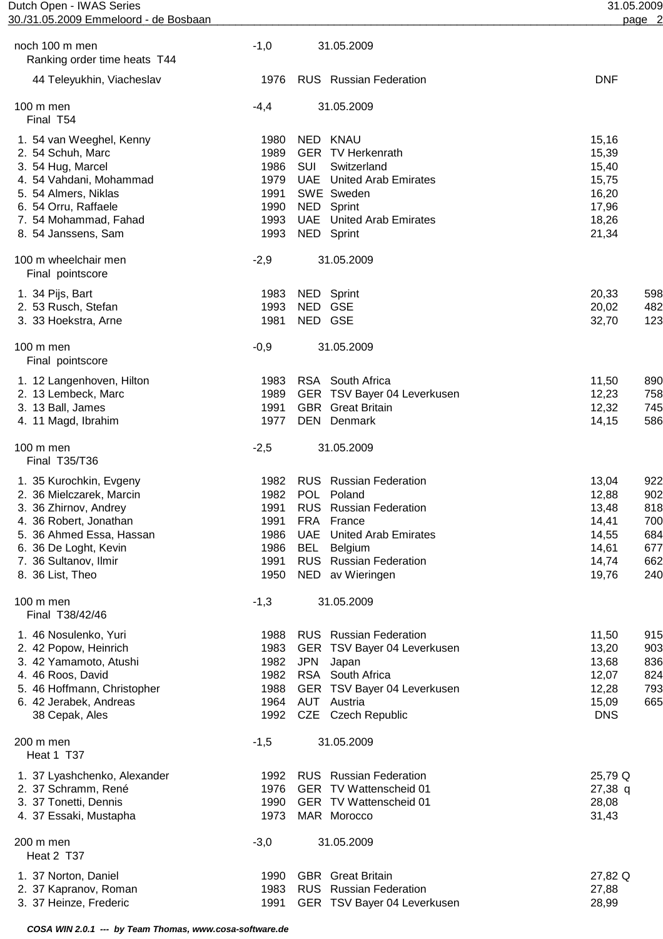| Dutch<br>Open - IWAS Series           | .05.2009 |
|---------------------------------------|----------|
| 30./31.05.2009 Emmeloord - de Bosbaan | page     |

| noch 100 m men<br>Ranking order time heats T44                                                                                                                                                           | $-1,0$                                                       |                    | 31.05.2009                                                                                                                                                                                |                                                                      |                                                      |
|----------------------------------------------------------------------------------------------------------------------------------------------------------------------------------------------------------|--------------------------------------------------------------|--------------------|-------------------------------------------------------------------------------------------------------------------------------------------------------------------------------------------|----------------------------------------------------------------------|------------------------------------------------------|
| 44 Teleyukhin, Viacheslav                                                                                                                                                                                | 1976                                                         |                    | <b>RUS</b> Russian Federation                                                                                                                                                             | <b>DNF</b>                                                           |                                                      |
| 100 m men<br>Final T54                                                                                                                                                                                   | $-4,4$                                                       |                    | 31.05.2009                                                                                                                                                                                |                                                                      |                                                      |
| 1. 54 van Weeghel, Kenny<br>2. 54 Schuh, Marc<br>3. 54 Hug, Marcel<br>4. 54 Vahdani, Mohammad<br>5. 54 Almers, Niklas<br>6. 54 Orru, Raffaele<br>7. 54 Mohammad, Fahad<br>8. 54 Janssens, Sam            | 1980<br>1989<br>1986<br>1979<br>1991<br>1990<br>1993<br>1993 | SUI<br><b>NED</b>  | NED KNAU<br><b>GER TV Herkenrath</b><br>Switzerland<br><b>UAE</b> United Arab Emirates<br>SWE Sweden<br>Sprint<br><b>UAE</b> United Arab Emirates<br>NED Sprint                           | 15,16<br>15,39<br>15,40<br>15,75<br>16,20<br>17,96<br>18,26<br>21,34 |                                                      |
| 100 m wheelchair men<br>Final pointscore                                                                                                                                                                 | $-2,9$                                                       |                    | 31.05.2009                                                                                                                                                                                |                                                                      |                                                      |
| 1. 34 Pijs, Bart<br>2. 53 Rusch, Stefan<br>3. 33 Hoekstra, Arne                                                                                                                                          | 1983<br>1993<br>1981                                         | NED GSE<br>NED GSE | NED Sprint                                                                                                                                                                                | 20,33<br>20,02<br>32,70                                              | 598<br>482<br>123                                    |
| 100 m men<br>Final pointscore                                                                                                                                                                            | $-0,9$                                                       |                    | 31.05.2009                                                                                                                                                                                |                                                                      |                                                      |
| 1. 12 Langenhoven, Hilton<br>2. 13 Lembeck, Marc<br>3. 13 Ball, James<br>4. 11 Magd, Ibrahim                                                                                                             | 1983<br>1989<br>1991<br>1977                                 | <b>GBR</b>         | RSA South Africa<br>GER TSV Bayer 04 Leverkusen<br><b>Great Britain</b><br>DEN Denmark                                                                                                    | 11,50<br>12,23<br>12,32<br>14,15                                     | 890<br>758<br>745<br>586                             |
| $100 \text{ m}$ men<br>Final T35/T36                                                                                                                                                                     | $-2,5$                                                       |                    | 31.05.2009                                                                                                                                                                                |                                                                      |                                                      |
| 1. 35 Kurochkin, Evgeny<br>2. 36 Mielczarek, Marcin<br>3. 36 Zhirnov, Andrey<br>4. 36 Robert, Jonathan<br>5. 36 Ahmed Essa, Hassan<br>6. 36 De Loght, Kevin<br>7. 36 Sultanov, Ilmir<br>8. 36 List, Theo | 1982<br>1982<br>1991<br>1991<br>1986<br>1986<br>1991<br>1950 | UAE<br>BEL         | <b>RUS</b> Russian Federation<br>POL Poland<br>RUS Russian Federation<br>FRA France<br><b>United Arab Emirates</b><br><b>Belgium</b><br><b>RUS</b> Russian Federation<br>NED av Wieringen | 13,04<br>12,88<br>13,48<br>14,41<br>14,55<br>14,61<br>14,74<br>19,76 | 922<br>902<br>818<br>700<br>684<br>677<br>662<br>240 |
| 100 m men<br>Final T38/42/46                                                                                                                                                                             | $-1,3$                                                       |                    | 31.05.2009                                                                                                                                                                                |                                                                      |                                                      |
| 1. 46 Nosulenko, Yuri<br>2. 42 Popow, Heinrich<br>3. 42 Yamamoto, Atushi<br>4. 46 Roos, David<br>5. 46 Hoffmann, Christopher<br>6. 42 Jerabek, Andreas<br>38 Cepak, Ales                                 | 1988<br>1983<br>1982<br>1982<br>1988<br>1964<br>1992         | <b>JPN</b>         | <b>RUS</b> Russian Federation<br>GER TSV Bayer 04 Leverkusen<br>Japan<br>RSA South Africa<br>GER TSV Bayer 04 Leverkusen<br>AUT Austria<br>CZE Czech Republic                             | 11,50<br>13,20<br>13,68<br>12,07<br>12,28<br>15,09<br><b>DNS</b>     | 915<br>903<br>836<br>824<br>793<br>665               |
| 200 m men<br>Heat 1 T37                                                                                                                                                                                  | $-1,5$                                                       |                    | 31.05.2009                                                                                                                                                                                |                                                                      |                                                      |
| 1. 37 Lyashchenko, Alexander<br>2. 37 Schramm, René<br>3. 37 Tonetti, Dennis<br>4. 37 Essaki, Mustapha                                                                                                   | 1992<br>1976<br>1990<br>1973                                 |                    | <b>RUS</b> Russian Federation<br>GER TV Wattenscheid 01<br>GER TV Wattenscheid 01<br>MAR Morocco                                                                                          | 25,79 Q<br>$27,38$ q<br>28,08<br>31,43                               |                                                      |
| 200 m men<br>Heat 2 T37                                                                                                                                                                                  | $-3,0$                                                       |                    | 31.05.2009                                                                                                                                                                                |                                                                      |                                                      |
| 1. 37 Norton, Daniel<br>2. 37 Kapranov, Roman<br>3. 37 Heinze, Frederic                                                                                                                                  | 1990<br>1983<br>1991                                         |                    | <b>GBR</b> Great Britain<br><b>RUS</b> Russian Federation<br>GER TSV Bayer 04 Leverkusen                                                                                                  | 27,82 Q<br>27,88<br>28,99                                            |                                                      |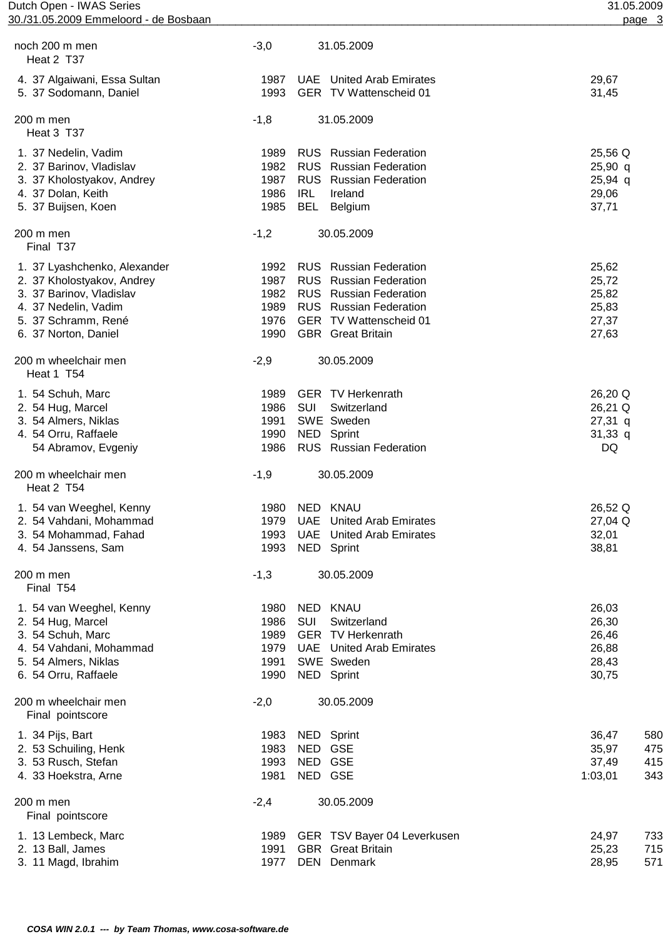| Dutch Open - IWAS Series              | 31.05.2009 |
|---------------------------------------|------------|
| 30./31.05.2009 Emmeloord - de Bosbaan | page       |

| noch 200 m men<br>Heat 2 T37                                                                                                                                  | $-3,0$                                       | 31.05.2009                                                                                                                                                                             |                                                                |
|---------------------------------------------------------------------------------------------------------------------------------------------------------------|----------------------------------------------|----------------------------------------------------------------------------------------------------------------------------------------------------------------------------------------|----------------------------------------------------------------|
| 4. 37 Algaiwani, Essa Sultan<br>5. 37 Sodomann, Daniel                                                                                                        | 1987<br>1993                                 | <b>UAE</b> United Arab Emirates<br>GER TV Wattenscheid 01                                                                                                                              | 29,67<br>31,45                                                 |
| 200 m men<br>Heat 3 T37                                                                                                                                       | $-1,8$                                       | 31.05.2009                                                                                                                                                                             |                                                                |
| 1. 37 Nedelin, Vadim<br>2. 37 Barinov, Vladislav<br>3. 37 Kholostyakov, Andrey<br>4. 37 Dolan, Keith<br>5. 37 Buijsen, Koen                                   | 1989<br>1982<br>1987<br>1986<br>1985         | <b>RUS</b> Russian Federation<br><b>RUS</b> Russian Federation<br><b>RUS</b> Russian Federation<br>IRL<br>Ireland<br><b>BEL</b><br>Belgium                                             | 25,56 Q<br>$25,90$ q<br>$25,94$ q<br>29,06<br>37,71            |
| 200 m men<br>Final T37                                                                                                                                        | $-1,2$                                       | 30.05.2009                                                                                                                                                                             |                                                                |
| 1. 37 Lyashchenko, Alexander<br>2. 37 Kholostyakov, Andrey<br>3. 37 Barinov, Vladislav<br>4. 37 Nedelin, Vadim<br>5. 37 Schramm, René<br>6. 37 Norton, Daniel | 1992<br>1987<br>1982<br>1989<br>1976<br>1990 | <b>RUS</b> Russian Federation<br><b>RUS</b> Russian Federation<br><b>RUS</b> Russian Federation<br><b>RUS</b> Russian Federation<br>GER TV Wattenscheid 01<br><b>GBR</b> Great Britain | 25,62<br>25,72<br>25,82<br>25,83<br>27,37<br>27,63             |
| 200 m wheelchair men<br>Heat 1 T54                                                                                                                            | $-2,9$                                       | 30.05.2009                                                                                                                                                                             |                                                                |
| 1. 54 Schuh, Marc<br>2. 54 Hug, Marcel<br>3. 54 Almers, Niklas<br>4. 54 Orru, Raffaele<br>54 Abramov, Evgeniy                                                 | 1989<br>1986<br>1991<br>1990<br>1986         | <b>GER TV Herkenrath</b><br>SUI<br>Switzerland<br>SWE Sweden<br>NED<br>Sprint<br><b>RUS</b> Russian Federation                                                                         | 26,20 Q<br>26,21 Q<br>$27,31$ q<br>$31,33$ q<br>DQ             |
| 200 m wheelchair men<br>Heat 2 T54                                                                                                                            | $-1,9$                                       | 30.05.2009                                                                                                                                                                             |                                                                |
| 1. 54 van Weeghel, Kenny<br>2. 54 Vahdani, Mohammad<br>3. 54 Mohammad, Fahad<br>4. 54 Janssens, Sam                                                           | 1980<br>1979<br>1993<br>1993                 | <b>NED</b><br><b>KNAU</b><br>UAE<br><b>United Arab Emirates</b><br><b>UAE</b> United Arab Emirates<br>NED Sprint                                                                       | 26,52 Q<br>27,04 Q<br>32,01<br>38,81                           |
| 200 m men<br>Final T54                                                                                                                                        | $-1,3$                                       | 30.05.2009                                                                                                                                                                             |                                                                |
| 1. 54 van Weeghel, Kenny<br>2. 54 Hug, Marcel<br>3. 54 Schuh, Marc<br>4. 54 Vahdani, Mohammad<br>5. 54 Almers, Niklas<br>6. 54 Orru, Raffaele                 | 1980<br>1986<br>1989<br>1979<br>1991<br>1990 | <b>NED</b><br><b>KNAU</b><br>SUI<br>Switzerland<br><b>GER TV Herkenrath</b><br><b>UAE</b> United Arab Emirates<br>SWE Sweden<br>NED Sprint                                             | 26,03<br>26,30<br>26,46<br>26,88<br>28,43<br>30,75             |
| 200 m wheelchair men<br>Final pointscore                                                                                                                      | $-2,0$                                       | 30.05.2009                                                                                                                                                                             |                                                                |
| 1. 34 Pijs, Bart<br>2. 53 Schuiling, Henk<br>3. 53 Rusch, Stefan<br>4. 33 Hoekstra, Arne                                                                      | 1983<br>1983<br>1993<br>1981                 | NED Sprint<br>NED GSE<br>NED GSE<br>NED GSE                                                                                                                                            | 36,47<br>580<br>35,97<br>475<br>37,49<br>415<br>343<br>1:03,01 |
| 200 m men<br>Final pointscore                                                                                                                                 | $-2,4$                                       | 30.05.2009                                                                                                                                                                             |                                                                |
| 1. 13 Lembeck, Marc<br>2. 13 Ball, James<br>3. 11 Magd, Ibrahim                                                                                               | 1989<br>1991<br>1977                         | GER TSV Bayer 04 Leverkusen<br><b>GBR</b> Great Britain<br>DEN Denmark                                                                                                                 | 24,97<br>733<br>25,23<br>715<br>28,95<br>571                   |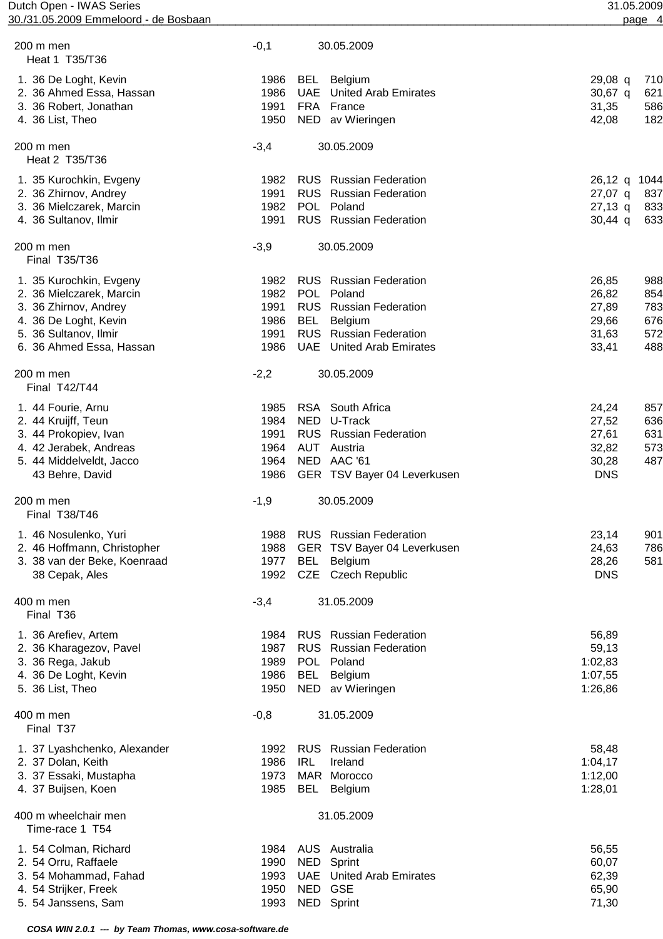| Dutch Open - IWAS Series<br>30./31.05.2009 Emmeloord - de Bosbaan |        |            |                                 |            | 31.05.2009<br>page 4 |
|-------------------------------------------------------------------|--------|------------|---------------------------------|------------|----------------------|
|                                                                   |        |            |                                 |            |                      |
| 200 m men<br>Heat 1 T35/T36                                       | $-0,1$ |            | 30.05.2009                      |            |                      |
| 1. 36 De Loght, Kevin                                             | 1986   | BEL        | <b>Belgium</b>                  | $29,08$ q  | 710                  |
| 2. 36 Ahmed Essa, Hassan                                          | 1986   | <b>UAE</b> | <b>United Arab Emirates</b>     | 30,67 q    | 621                  |
| 3. 36 Robert, Jonathan                                            | 1991   |            | FRA France                      | 31,35      | 586                  |
| 4. 36 List, Theo                                                  | 1950   |            | NED av Wieringen                | 42,08      | 182                  |
| 200 m men<br>Heat 2 T35/T36                                       | $-3,4$ |            | 30.05.2009                      |            |                      |
| 1. 35 Kurochkin, Evgeny                                           | 1982   |            | <b>RUS</b> Russian Federation   | $26,12$ q  | 1044                 |
| 2. 36 Zhirnov, Andrey                                             | 1991   |            | <b>RUS</b> Russian Federation   | 27,07 q    | 837                  |
| 3. 36 Mielczarek, Marcin                                          | 1982   |            | POL Poland                      | $27,13$ q  | 833                  |
| 4. 36 Sultanov, Ilmir                                             | 1991   |            | RUS Russian Federation          | $30,44$ q  | 633                  |
| 200 m men<br>Final T35/T36                                        | $-3,9$ |            | 30.05.2009                      |            |                      |
| 1. 35 Kurochkin, Evgeny                                           | 1982   |            | <b>RUS</b> Russian Federation   | 26,85      | 988                  |
| 2. 36 Mielczarek, Marcin                                          | 1982   | <b>POL</b> | Poland                          | 26,82      | 854                  |
| 3. 36 Zhirnov, Andrey                                             | 1991   |            | <b>RUS</b> Russian Federation   | 27,89      | 783                  |
| 4. 36 De Loght, Kevin                                             | 1986   | BEL        | Belgium                         | 29,66      | 676                  |
| 5. 36 Sultanov, Ilmir                                             | 1991   |            | <b>RUS</b> Russian Federation   | 31,63      | 572                  |
| 6. 36 Ahmed Essa, Hassan                                          | 1986   |            | <b>UAE</b> United Arab Emirates | 33,41      | 488                  |
| 200 m men<br>Final T42/T44                                        | $-2,2$ |            | 30.05.2009                      |            |                      |
| 1. 44 Fourie, Arnu                                                | 1985   |            | RSA South Africa                | 24,24      | 857                  |
| 2. 44 Kruijff, Teun                                               | 1984   | NED.       | U-Track                         | 27,52      | 636                  |
| 3. 44 Prokopiev, Ivan                                             | 1991   |            | RUS Russian Federation          | 27,61      | 631                  |
| 4. 42 Jerabek, Andreas                                            | 1964   |            | AUT Austria                     | 32,82      | 573                  |
| 5. 44 Middelveldt, Jacco                                          | 1964   |            | NED AAC '61                     | 30,28      | 487                  |
| 43 Behre, David                                                   | 1986   |            | GER TSV Bayer 04 Leverkusen     | <b>DNS</b> |                      |
| 200 m men<br>Final T38/T46                                        | $-1,9$ |            | 30.05.2009                      |            |                      |
| 1. 46 Nosulenko, Yuri                                             | 1988   |            | <b>RUS</b> Russian Federation   | 23,14      | 901                  |
| 2. 46 Hoffmann, Christopher                                       | 1988   |            | GER TSV Bayer 04 Leverkusen     | 24,63      | 786                  |
| 3. 38 van der Beke, Koenraad                                      | 1977   | <b>BEL</b> | Belgium                         | 28,26      | 581                  |
| 38 Cepak, Ales                                                    | 1992   |            | CZE Czech Republic              | <b>DNS</b> |                      |
| 400 m men<br>Final T36                                            | $-3,4$ |            | 31.05.2009                      |            |                      |
| 1. 36 Arefiev, Artem                                              | 1984   |            | <b>RUS</b> Russian Federation   | 56,89      |                      |
| 2. 36 Kharagezov, Pavel                                           | 1987   |            | <b>RUS</b> Russian Federation   | 59,13      |                      |
| 3. 36 Rega, Jakub                                                 | 1989   |            | POL Poland                      | 1:02,83    |                      |
| 4. 36 De Loght, Kevin                                             | 1986   | <b>BEL</b> | Belgium                         | 1:07,55    |                      |
| 5. 36 List, Theo                                                  | 1950   |            | NED av Wieringen                | 1:26,86    |                      |
| 400 m men<br>Final T37                                            | $-0,8$ |            | 31.05.2009                      |            |                      |
| 1. 37 Lyashchenko, Alexander                                      | 1992   |            | <b>RUS</b> Russian Federation   | 58,48      |                      |
| 2. 37 Dolan, Keith                                                | 1986   | <b>IRL</b> | Ireland                         | 1:04,17    |                      |
| 3. 37 Essaki, Mustapha                                            | 1973   |            | MAR Morocco                     | 1:12,00    |                      |
| 4. 37 Buijsen, Koen                                               | 1985   | BEL        | Belgium                         | 1:28,01    |                      |
| 400 m wheelchair men<br>Time-race 1 T54                           |        |            | 31.05.2009                      |            |                      |
| 1. 54 Colman, Richard                                             | 1984   |            | AUS Australia                   | 56,55      |                      |
| 2. 54 Orru, Raffaele                                              | 1990   |            | NED Sprint                      | 60,07      |                      |
| 3. 54 Mohammad, Fahad                                             | 1993   |            | <b>UAE</b> United Arab Emirates | 62,39      |                      |
| 4. 54 Strijker, Freek                                             | 1950   |            | NED GSE                         | 65,90      |                      |
| 5. 54 Janssens, Sam                                               | 1993   |            | NED Sprint                      | 71,30      |                      |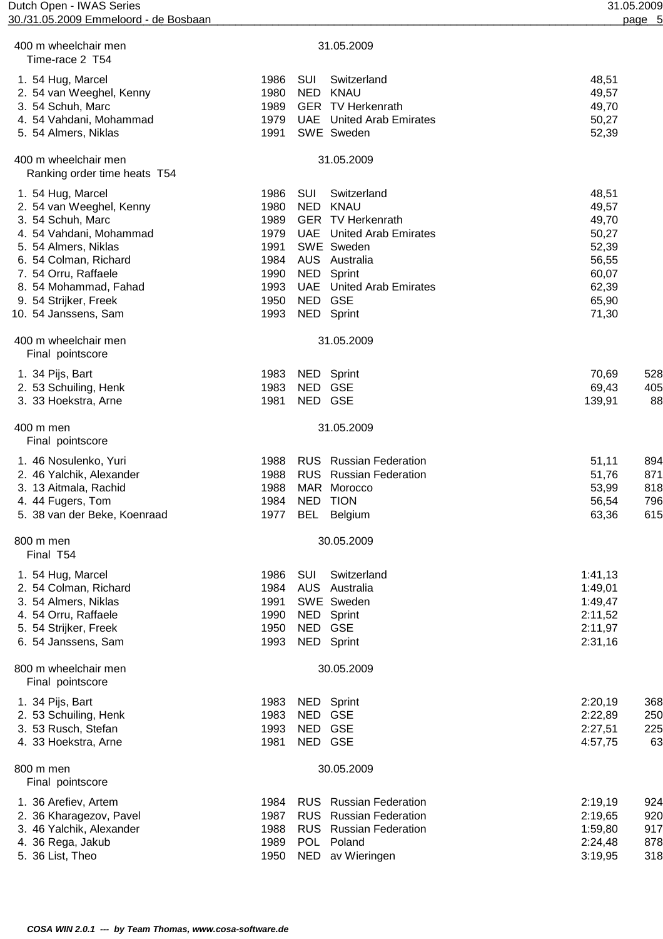| Dutch Open - IWAS Series<br>30./31.05.2009 Emmeloord - de Bosbaan |                                         | 31.05.2009<br>page 5 |
|-------------------------------------------------------------------|-----------------------------------------|----------------------|
| 400 m wheelchair men                                              | 31.05.2009                              |                      |
| Time-race 2 T54                                                   |                                         |                      |
| 1. 54 Hug, Marcel                                                 | SUI<br>1986<br>Switzerland              | 48,51                |
| 2. 54 van Weeghel, Kenny                                          | <b>NED</b><br>1980<br><b>KNAU</b>       | 49,57                |
| 3. 54 Schuh, Marc                                                 | 1989<br><b>GER</b> TV Herkenrath        | 49,70                |
| 4. 54 Vahdani, Mohammad                                           | 1979<br><b>UAE</b> United Arab Emirates | 50,27                |
| 5. 54 Almers, Niklas                                              | SWE Sweden<br>1991                      | 52,39                |
| 400 m wheelchair men<br>Ranking order time heats T54              | 31.05.2009                              |                      |
| 1. 54 Hug, Marcel                                                 | SUI<br>Switzerland<br>1986              | 48,51                |
| 2. 54 van Weeghel, Kenny                                          | 1980<br>NED<br><b>KNAU</b>              | 49,57                |
| 3. 54 Schuh, Marc                                                 | <b>GER TV Herkenrath</b><br>1989        | 49,70                |
| 4. 54 Vahdani, Mohammad                                           | 1979<br><b>UAE</b> United Arab Emirates | 50,27                |
| 5. 54 Almers, Niklas                                              | SWE Sweden<br>1991                      | 52,39                |
| 6. 54 Colman, Richard                                             | 1984<br>AUS Australia                   | 56,55                |
| 7. 54 Orru, Raffaele                                              | NED Sprint<br>1990                      | 60,07                |
| 8. 54 Mohammad, Fahad                                             | 1993<br><b>UAE</b> United Arab Emirates | 62,39                |
| 9. 54 Strijker, Freek                                             | NED GSE<br>1950                         | 65,90                |
| 10. 54 Janssens, Sam                                              | 1993<br>NED Sprint                      | 71,30                |
| 400 m wheelchair men<br>Final pointscore                          | 31.05.2009                              |                      |
| 1. 34 Pijs, Bart                                                  | 1983<br>NED Sprint                      | 70,69<br>528         |
| 2. 53 Schuiling, Henk                                             | 1983<br>NED GSE                         | 69,43<br>405         |
| 3. 33 Hoekstra, Arne                                              | 1981<br>NED GSE                         | 139,91<br>88         |
| 400 m men<br>Final pointscore                                     | 31.05.2009                              |                      |
| 1. 46 Nosulenko, Yuri                                             | 1988<br><b>RUS</b> Russian Federation   | 51,11<br>894         |
| 2. 46 Yalchik, Alexander                                          | 1988<br><b>RUS</b> Russian Federation   | 51,76<br>871         |
| 3. 13 Aitmala, Rachid                                             | MAR Morocco<br>1988                     | 818<br>53,99         |
| 4. 44 Fugers, Tom                                                 | 1984<br>NED TION                        | 796<br>56,54         |
| 5. 38 van der Beke, Koenraad                                      | 1977 BEL Belgium                        | 63,36<br>615         |
| 800 m men<br>Final T54                                            | 30.05.2009                              |                      |
| 1. 54 Hug, Marcel                                                 | SUI<br>Switzerland<br>1986              | 1:41,13              |
| 2. 54 Colman, Richard                                             | 1984<br>AUS Australia                   | 1:49,01              |
| 3. 54 Almers, Niklas                                              | 1991<br>SWE Sweden                      | 1:49,47              |
| 4. 54 Orru, Raffaele                                              | 1990<br>NED Sprint                      | 2:11,52              |
| 5. 54 Strijker, Freek                                             | 1950<br>NED GSE                         | 2:11,97              |
| 6. 54 Janssens, Sam                                               | 1993<br>NED Sprint                      | 2:31,16              |
| 800 m wheelchair men<br>Final pointscore                          | 30.05.2009                              |                      |
| 1. 34 Pijs, Bart                                                  | NED Sprint<br>1983                      | 2:20,19<br>368       |
| 2. 53 Schuiling, Henk                                             | 1983<br>NED<br><b>GSE</b>               | 2:22,89<br>250       |
| 3. 53 Rusch, Stefan                                               | 1993<br>NED GSE                         | 225<br>2:27,51       |
| 4. 33 Hoekstra, Arne                                              | NED GSE<br>1981                         | 63<br>4:57,75        |
| 800 m men<br>Final pointscore                                     | 30.05.2009                              |                      |
| 1. 36 Arefiev, Artem                                              | <b>RUS</b> Russian Federation<br>1984   | 2:19,19<br>924       |
| 2. 36 Kharagezov, Pavel                                           | 1987<br><b>RUS</b> Russian Federation   | 920<br>2:19,65       |
| 3. 46 Yalchik, Alexander                                          | 1988<br>RUS Russian Federation          | 917<br>1:59,80       |
| 4. 36 Rega, Jakub                                                 | POL Poland<br>1989                      | 878<br>2:24,48       |
| 5. 36 List, Theo                                                  | 1950<br>NED av Wieringen                | 318<br>3:19,95       |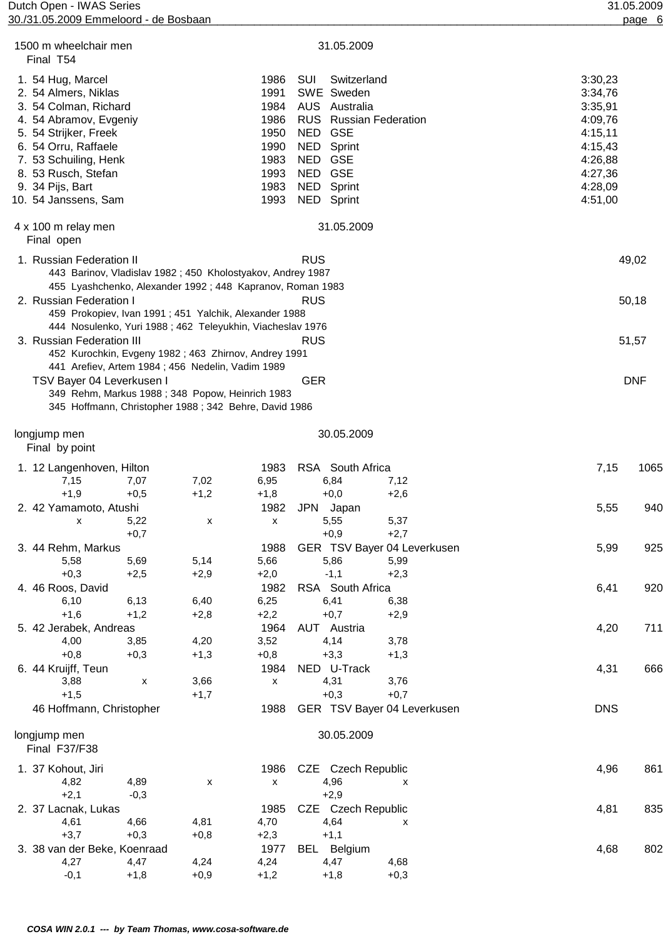Dutch Open - IWAS Series 31.05.2009 30./31.05.2009 Emmeloord - de Bosbaan \_\_\_\_\_\_\_\_\_\_\_\_\_\_\_\_\_\_\_\_\_\_\_\_\_\_\_\_\_\_\_\_\_\_\_\_\_\_\_\_\_\_\_\_\_\_\_\_\_\_\_\_\_\_\_\_\_\_\_\_\_\_\_\_\_\_\_\_\_\_\_\_\_\_\_\_\_\_\_\_\_\_\_\_\_\_\_\_\_\_\_\_\_\_\_\_\_\_\_\_\_\_page 6 \_\_\_\_\_\_\_\_

| 1500 m wheelchair men<br>Final T54                                                                                                                                                                                                        |                          |                                                                                                                                                                                   |                                                                              |                                                                                                                                         | 31.05.2009            |                                               |                                                                                                            |            |
|-------------------------------------------------------------------------------------------------------------------------------------------------------------------------------------------------------------------------------------------|--------------------------|-----------------------------------------------------------------------------------------------------------------------------------------------------------------------------------|------------------------------------------------------------------------------|-----------------------------------------------------------------------------------------------------------------------------------------|-----------------------|-----------------------------------------------|------------------------------------------------------------------------------------------------------------|------------|
| 1. 54 Hug, Marcel<br>2. 54 Almers, Niklas<br>3. 54 Colman, Richard<br>4. 54 Abramov, Evgeniy<br>5. 54 Strijker, Freek<br>6. 54 Orru, Raffaele<br>7. 53 Schuiling, Henk<br>8. 53 Rusch, Stefan<br>9. 34 Pijs, Bart<br>10. 54 Janssens, Sam |                          |                                                                                                                                                                                   | 1986<br>1991<br>1984<br>1986<br>1950<br>1990<br>1983<br>1993<br>1983<br>1993 | SUI<br>SWE Sweden<br>AUS Australia<br><b>RUS</b> Russian Federation<br>NED GSE<br>NED<br>NED GSE<br>NED GSE<br>NED Sprint<br>NED Sprint | Switzerland<br>Sprint |                                               | 3:30,23<br>3:34,76<br>3:35,91<br>4:09,76<br>4:15,11<br>4:15,43<br>4:26,88<br>4:27,36<br>4:28,09<br>4:51,00 |            |
| 4 x 100 m relay men<br>Final open                                                                                                                                                                                                         |                          |                                                                                                                                                                                   |                                                                              |                                                                                                                                         | 31.05.2009            |                                               |                                                                                                            |            |
| 1. Russian Federation II                                                                                                                                                                                                                  |                          | 443 Barinov, Vladislav 1982; 450 Kholostyakov, Andrey 1987                                                                                                                        |                                                                              | <b>RUS</b>                                                                                                                              |                       |                                               |                                                                                                            | 49,02      |
| 2. Russian Federation I                                                                                                                                                                                                                   |                          | 455 Lyashchenko, Alexander 1992; 448 Kapranov, Roman 1983<br>459 Prokopiev, Ivan 1991 ; 451 Yalchik, Alexander 1988<br>444 Nosulenko, Yuri 1988 ; 462 Teleyukhin, Viacheslav 1976 |                                                                              | <b>RUS</b>                                                                                                                              |                       |                                               |                                                                                                            | 50,18      |
| 3. Russian Federation III                                                                                                                                                                                                                 |                          | 452 Kurochkin, Evgeny 1982 ; 463 Zhirnov, Andrey 1991                                                                                                                             |                                                                              | <b>RUS</b>                                                                                                                              |                       |                                               |                                                                                                            | 51,57      |
| TSV Bayer 04 Leverkusen I                                                                                                                                                                                                                 |                          | 441 Arefiev, Artem 1984; 456 Nedelin, Vadim 1989<br>349 Rehm, Markus 1988 ; 348 Popow, Heinrich 1983<br>345 Hoffmann, Christopher 1988 ; 342 Behre, David 1986                    |                                                                              | <b>GER</b>                                                                                                                              |                       |                                               |                                                                                                            | <b>DNF</b> |
| longjump men<br>Final by point                                                                                                                                                                                                            |                          |                                                                                                                                                                                   |                                                                              |                                                                                                                                         | 30.05.2009            |                                               |                                                                                                            |            |
| 1. 12 Langenhoven, Hilton<br>7,15                                                                                                                                                                                                         | 7,07                     | 7,02                                                                                                                                                                              | 1983<br>6,95                                                                 | RSA South Africa<br>6,84                                                                                                                |                       | 7,12                                          | 7,15                                                                                                       | 1065       |
| $+1,9$<br>2. 42 Yamamoto, Atushi<br>х                                                                                                                                                                                                     | $+0,5$<br>5,22           | $+1,2$<br>X                                                                                                                                                                       | $+1,8$<br>1982<br>х                                                          | $+0,0$<br><b>JPN</b><br>5,55                                                                                                            | Japan                 | $+2,6$<br>5,37                                | 5,55                                                                                                       | 940        |
| 3. 44 Rehm, Markus<br>5,58                                                                                                                                                                                                                | $+0,7$<br>5,69           | 5,14                                                                                                                                                                              | 1988<br>5,66                                                                 | $+0,9$<br>5,86                                                                                                                          |                       | $+2,7$<br>GER TSV Bayer 04 Leverkusen<br>5,99 | 5,99                                                                                                       | 925        |
| $+0,3$<br>4. 46 Roos, David<br>6,10                                                                                                                                                                                                       | $+2,5$<br>6,13           | $+2,9$<br>6,40                                                                                                                                                                    | $+2,0$<br>1982<br>6,25                                                       | $-1,1$<br>RSA South Africa<br>6,41                                                                                                      |                       | $+2,3$<br>6,38                                | 6,41                                                                                                       | 920        |
| $+1,6$<br>5. 42 Jerabek, Andreas<br>4,00                                                                                                                                                                                                  | $+1,2$<br>3,85           | $+2,8$<br>4,20                                                                                                                                                                    | $+2,2$<br>1964<br>3,52                                                       | $+0,7$<br>AUT Austria<br>4,14                                                                                                           |                       | $+2,9$<br>3,78                                | 4,20                                                                                                       | 711        |
| $+0,8$<br>6. 44 Kruijff, Teun<br>3,88                                                                                                                                                                                                     | $+0,3$<br>$\pmb{\times}$ | $+1,3$<br>3,66                                                                                                                                                                    | $+0,8$<br>1984<br>$\pmb{\mathsf{x}}$                                         | $+3,3$<br>NED U-Track<br>4,31                                                                                                           |                       | $+1,3$<br>3,76                                | 4,31                                                                                                       | 666        |
| $+1,5$<br>46 Hoffmann, Christopher                                                                                                                                                                                                        |                          | $+1,7$                                                                                                                                                                            | 1988                                                                         | $+0,3$                                                                                                                                  |                       | $+0,7$<br>GER TSV Bayer 04 Leverkusen         | <b>DNS</b>                                                                                                 |            |
| longjump men<br>Final F37/F38                                                                                                                                                                                                             |                          |                                                                                                                                                                                   |                                                                              |                                                                                                                                         | 30.05.2009            |                                               |                                                                                                            |            |
| 1. 37 Kohout, Jiri<br>4,82<br>$+2,1$                                                                                                                                                                                                      | 4,89<br>$-0,3$           | X                                                                                                                                                                                 | 1986<br>X                                                                    | CZE Czech Republic<br>4,96<br>$+2,9$                                                                                                    |                       | x                                             | 4,96                                                                                                       | 861        |
| 2. 37 Lacnak, Lukas<br>4,61                                                                                                                                                                                                               | 4,66                     | 4,81                                                                                                                                                                              | 1985<br>4,70                                                                 | CZE Czech Republic<br>4,64                                                                                                              |                       | x                                             | 4,81                                                                                                       | 835        |
| $+3,7$<br>3. 38 van der Beke, Koenraad<br>4,27                                                                                                                                                                                            | $+0,3$<br>4,47           | $+0,8$<br>4,24                                                                                                                                                                    | $+2,3$<br>1977<br>4,24                                                       | $+1,1$<br>BEL<br>4,47                                                                                                                   | Belgium               | 4,68                                          | 4,68                                                                                                       | 802        |
| $-0,1$                                                                                                                                                                                                                                    | $+1,8$                   | $+0,9$                                                                                                                                                                            | $+1,2$                                                                       | $+1,8$                                                                                                                                  |                       | $+0,3$                                        |                                                                                                            |            |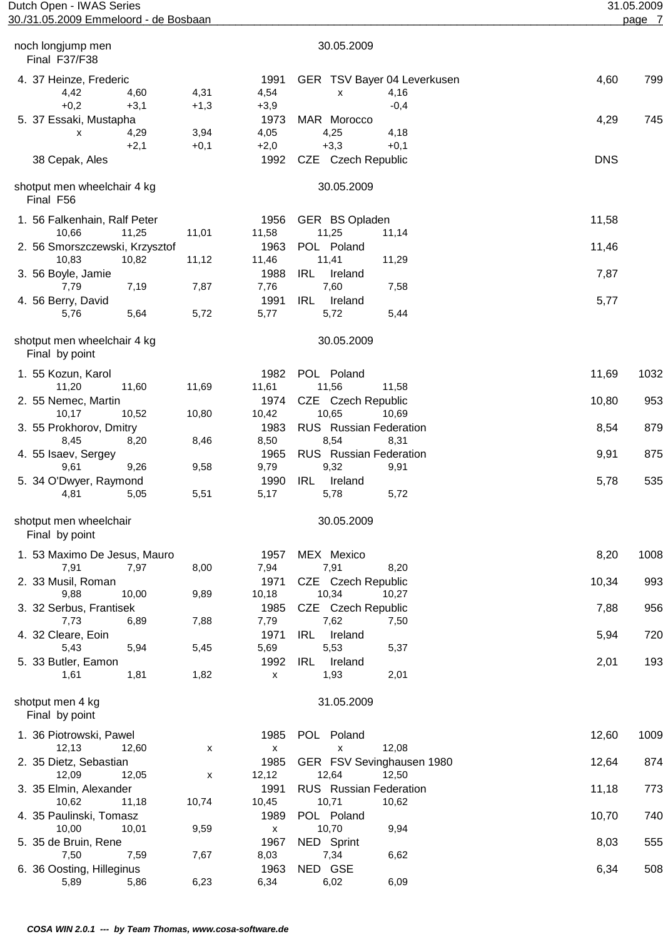| Dutch Open - IWAS Series                      |        |                            |                                          |            | 31.05.2009 |
|-----------------------------------------------|--------|----------------------------|------------------------------------------|------------|------------|
| 30./31.05.2009 Emmeloord - de Bosbaan         |        |                            |                                          |            | page 7     |
| noch longjump men<br>Final F37/F38            |        |                            | 30.05.2009                               |            |            |
| 4. 37 Heinze, Frederic<br>4,42<br>4,60        | 4,31   | 1991<br>4,54               | GER TSV Bayer 04 Leverkusen<br>4,16<br>X | 4,60       | 799        |
| $+0,2$<br>$+3,1$                              | $+1,3$ | $+3,9$                     | $-0,4$                                   |            |            |
| 5. 37 Essaki, Mustapha                        |        | 1973                       | MAR Morocco                              | 4,29       | 745        |
| 4,29<br>X                                     | 3,94   | 4,05                       | 4,25<br>4,18                             |            |            |
| $+2,1$                                        | $+0,1$ | $+2,0$                     | $+3,3$<br>$+0,1$                         |            |            |
| 38 Cepak, Ales                                |        | 1992                       | CZE Czech Republic                       | <b>DNS</b> |            |
| shotput men wheelchair 4 kg<br>Final F56      |        |                            | 30.05.2009                               |            |            |
| 1. 56 Falkenhain, Ralf Peter                  |        | 1956                       | GER BS Opladen                           | 11,58      |            |
| 11,25<br>10,66                                | 11,01  | 11,58                      | 11,25<br>11,14                           |            |            |
| 2. 56 Smorszczewski, Krzysztof                |        | 1963                       | POL Poland                               | 11,46      |            |
| 10,83<br>10,82                                | 11,12  | 11,46                      | 11,41<br>11,29                           |            |            |
| 3. 56 Boyle, Jamie                            |        | 1988                       | <b>IRL</b><br>Ireland                    | 7,87       |            |
| 7,79<br>7,19                                  | 7,87   | 7,76                       | 7,60<br>7,58                             |            |            |
| 4. 56 Berry, David                            |        | 1991                       | <b>IRL</b><br>Ireland                    | 5,77       |            |
| 5,76<br>5,64                                  | 5,72   | 5,77                       | 5,72<br>5,44                             |            |            |
| shotput men wheelchair 4 kg<br>Final by point |        |                            | 30.05.2009                               |            |            |
| 1. 55 Kozun, Karol                            |        | 1982                       | POL Poland                               | 11,69      | 1032       |
| 11,20<br>11,60                                | 11,69  | 11,61                      | 11,56<br>11,58                           |            |            |
| 2. 55 Nemec, Martin                           |        | 1974                       | CZE Czech Republic                       | 10,80      | 953        |
| 10,52<br>10,17                                | 10,80  | 10,42                      | 10,65<br>10,69                           |            |            |
| 3. 55 Prokhorov, Dmitry                       |        | 1983                       | <b>RUS</b> Russian Federation            | 8,54       | 879        |
| 8,45<br>8,20                                  | 8,46   | 8,50                       | 8,54<br>8,31                             |            |            |
| 4. 55 Isaev, Sergey                           |        | 1965                       | RUS Russian Federation                   | 9,91       | 875        |
| 9,26<br>9,61                                  | 9,58   | 9,79                       | 9,32<br>9,91                             |            |            |
| 5. 34 O'Dwyer, Raymond<br>4,81<br>5,05        | 5,51   | 1990<br>5,17               | IRL<br>Ireland<br>5,78<br>5,72           | 5,78       | 535        |
|                                               |        |                            |                                          |            |            |
| shotput men wheelchair<br>Final by point      |        |                            | 30.05.2009                               |            |            |
| 1. 53 Maximo De Jesus, Mauro                  |        | 1957                       | MEX Mexico                               | 8,20       | 1008       |
| 7,97<br>7,91                                  | 8,00   | 7,94                       | 7,91<br>8,20                             |            |            |
| 2. 33 Musil, Roman                            |        | 1971                       | CZE Czech Republic                       | 10,34      | 993        |
| 9,88<br>10,00                                 | 9,89   | 10,18                      | 10,34<br>10,27                           |            |            |
| 3. 32 Serbus, Frantisek                       |        | 1985                       | CZE Czech Republic                       | 7,88       | 956        |
| 7,73<br>6,89                                  | 7,88   | 7,79                       | 7,62<br>7,50                             |            |            |
| 4. 32 Cleare, Eoin                            |        | 1971                       | <b>IRL</b><br>Ireland                    | 5,94       | 720        |
| 5,94<br>5,43                                  | 5,45   | 5,69                       | 5,53<br>5,37                             |            |            |
| 5. 33 Butler, Eamon<br>1,81<br>1,61           | 1,82   | 1992<br>$\pmb{\mathsf{x}}$ | <b>IRL</b><br>Ireland<br>1,93<br>2,01    | 2,01       | 193        |
| shotput men 4 kg<br>Final by point            |        |                            | 31.05.2009                               |            |            |
| 1. 36 Piotrowski, Pawel                       |        | 1985                       | POL Poland                               | 12,60      | 1009       |
| 12,13<br>12,60                                | x      | $\pmb{\mathsf{x}}$         | 12,08<br>X                               |            |            |
| 2. 35 Dietz, Sebastian                        |        | 1985                       | GER FSV Sevinghausen 1980                | 12,64      | 874        |
| 12,09<br>12,05                                | X      | 12,12                      | 12,64<br>12,50                           |            |            |
| 3. 35 Elmin, Alexander                        |        | 1991                       | <b>RUS</b> Russian Federation            | 11,18      | 773        |
| 10,62<br>11,18                                | 10,74  | 10,45                      | 10,71<br>10,62                           |            |            |
| 4. 35 Paulinski, Tomasz                       |        | 1989                       | POL Poland                               | 10,70      | 740        |
| 10,00<br>10,01                                | 9,59   | $\pmb{\mathsf{X}}$         | 10,70<br>9,94                            |            |            |
| 5. 35 de Bruin, Rene                          |        | 1967                       | NED Sprint                               | 8,03       | 555        |
| 7,50<br>7,59                                  | 7,67   | 8,03                       | 7,34<br>6,62                             |            |            |
| 6. 36 Oosting, Hilleginus                     |        | 1963                       | NED GSE                                  | 6,34       | 508        |
| 5,89<br>5,86                                  | 6,23   | 6,34                       | 6,02<br>6,09                             |            |            |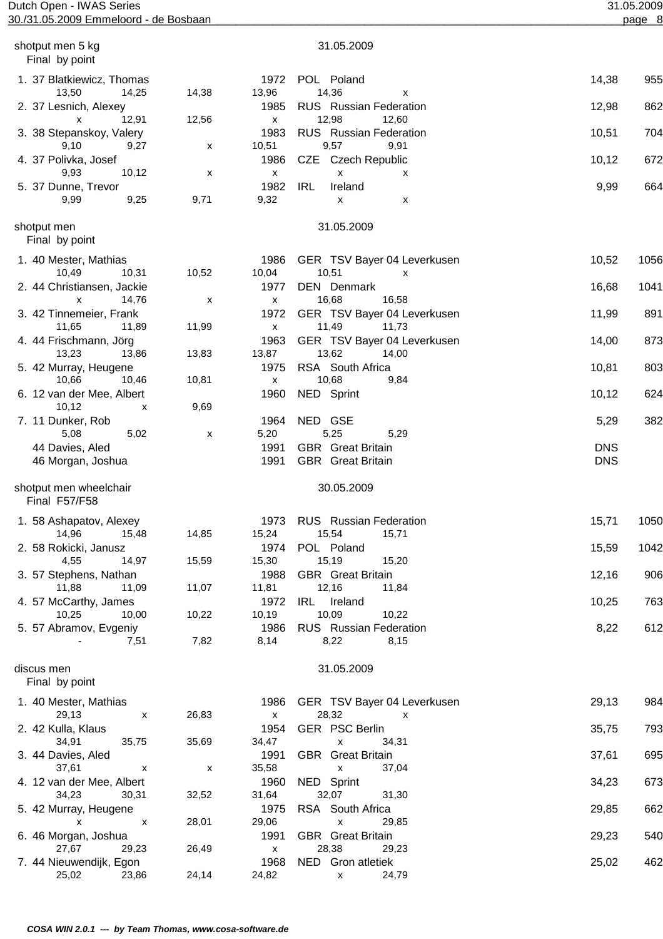| Dutch Open - IWAS Series<br>30./31.05.2009 Emmeloord - de Bosbaan |           |                                   |                                                                   |            | 31.05.2009<br>page 8 |
|-------------------------------------------------------------------|-----------|-----------------------------------|-------------------------------------------------------------------|------------|----------------------|
|                                                                   |           |                                   |                                                                   |            |                      |
| shotput men 5 kg<br>Final by point                                |           |                                   | 31.05.2009                                                        |            |                      |
| 1. 37 Blatkiewicz, Thomas<br>13,50<br>14,25                       | 14,38     | 1972<br>13,96                     | POL Poland<br>14,36<br>X                                          | 14,38      | 955                  |
| 2. 37 Lesnich, Alexey<br>12,91<br>x                               | 12,56     | 1985<br>$\mathsf{x}$              | <b>RUS</b> Russian Federation<br>12,98<br>12,60                   | 12,98      | 862                  |
| 3. 38 Stepanskoy, Valery<br>9,10<br>9,27                          | X         | 1983<br>10,51                     | <b>RUS</b> Russian Federation<br>9,57<br>9,91                     | 10,51      | 704                  |
| 4. 37 Polivka, Josef<br>10,12<br>9,93                             |           | 1986<br>$\pmb{\mathsf{X}}$        | CZE Czech Republic<br>X                                           | 10,12      | 672                  |
| 5. 37 Dunne, Trevor<br>9,25<br>9,99                               | X<br>9,71 | 1982<br>9,32                      | x<br><b>IRL</b><br>Ireland                                        | 9,99       | 664                  |
|                                                                   |           |                                   | X<br>х                                                            |            |                      |
| shotput men<br>Final by point                                     |           |                                   | 31.05.2009                                                        |            |                      |
| 1. 40 Mester, Mathias<br>10,49<br>10,31                           | 10,52     | 1986<br>10,04                     | GER TSV Bayer 04 Leverkusen<br>10,51<br>x                         | 10,52      | 1056                 |
| 2. 44 Christiansen, Jackie<br>14,76<br>X                          | х         | 1977<br>$\mathsf{x}$              | DEN Denmark<br>16,68<br>16,58                                     | 16,68      | 1041                 |
| 3. 42 Tinnemeier, Frank<br>11,65<br>11,89                         | 11,99     | 1972<br>$\pmb{\mathsf{X}}$        | GER TSV Bayer 04 Leverkusen<br>11,49<br>11,73                     | 11,99      | 891                  |
| 4. 44 Frischmann, Jörg<br>13,23                                   |           | 1963<br>13,87                     | GER TSV Bayer 04 Leverkusen<br>13,62                              | 14,00      | 873                  |
| 13,86<br>5. 42 Murray, Heugene                                    | 13,83     | 1975                              | 14,00<br>RSA South Africa                                         | 10,81      | 803                  |
| 10,66<br>10,46<br>6. 12 van der Mee, Albert                       | 10,81     | $\pmb{\mathsf{X}}$<br>1960        | 10,68<br>9,84<br>NED Sprint                                       | 10,12      | 624                  |
| 10,12<br>X<br>7. 11 Dunker, Rob                                   | 9,69      | 1964                              | NED GSE                                                           | 5,29       | 382                  |
| 5,08<br>5,02<br>44 Davies, Aled                                   | х         | 5,20<br>1991                      | 5,25<br>5,29<br><b>GBR</b> Great Britain                          | <b>DNS</b> |                      |
| 46 Morgan, Joshua                                                 |           | 1991                              | <b>GBR</b> Great Britain                                          | <b>DNS</b> |                      |
| shotput men wheelchair<br>Final F57/F58                           |           |                                   | 30.05.2009                                                        |            |                      |
| 1. 58 Ashapatov, Alexey<br>14,96<br>15,48                         | 14,85     | 1973<br>15,24                     | <b>RUS</b> Russian Federation<br>15,54<br>15,71                   | 15,71      | 1050                 |
| 2. 58 Rokicki, Janusz<br>4,55<br>14,97                            | 15,59     | 1974<br>15,30                     | POL Poland<br>15,19<br>15,20                                      | 15,59      | 1042                 |
| 3. 57 Stephens, Nathan<br>11,88<br>11,09                          | 11,07     | 1988<br>11,81                     | <b>GBR</b> Great Britain<br>12,16<br>11,84                        | 12,16      | 906                  |
| 4. 57 McCarthy, James                                             | 10,22     | 1972                              | IRL Ireland<br>10,09                                              | 10,25      | 763                  |
| 10,25<br>10,00<br>5. 57 Abramov, Evgeniy                          |           | 10,19<br>1986                     | 10,22<br><b>RUS</b> Russian Federation                            | 8,22       | 612                  |
| 7,51                                                              | 7,82      | 8,14                              | 8,22<br>8,15                                                      |            |                      |
| discus men<br>Final by point                                      |           |                                   | 31.05.2009                                                        |            |                      |
| 1. 40 Mester, Mathias<br>29,13<br>$\boldsymbol{\mathsf{x}}$       | 26,83     | 1986<br>$\boldsymbol{\mathsf{x}}$ | GER TSV Bayer 04 Leverkusen<br>28,32<br>$\boldsymbol{\mathsf{x}}$ | 29,13      | 984                  |
| 2. 42 Kulla, Klaus<br>34,91<br>35,75                              | 35,69     | 1954<br>34,47                     | GER PSC Berlin<br>$\pmb{\mathsf{X}}$<br>34,31                     | 35,75      | 793                  |
| 3. 44 Davies, Aled<br>37,61<br>X                                  | X         | 1991<br>35,58                     | <b>GBR</b> Great Britain<br>37,04<br>X                            | 37,61      | 695                  |
| 4. 12 van der Mee, Albert<br>34,23<br>30,31                       | 32,52     | 1960<br>31,64                     | NED Sprint<br>32,07<br>31,30                                      | 34,23      | 673                  |
| 5. 42 Murray, Heugene<br>$\mathsf{x}$<br>$\mathsf{X}$             | 28,01     | 1975<br>29,06                     | RSA South Africa<br>29,85<br>$\pmb{\mathsf{X}}$                   | 29,85      | 662                  |
| 6. 46 Morgan, Joshua<br>27,67<br>29,23                            | 26,49     | 1991<br>$\mathsf{x}$              | <b>GBR</b> Great Britain<br>28,38<br>29,23                        | 29,23      | 540                  |
| 7. 44 Nieuwendijk, Egon<br>25,02<br>23,86                         | 24,14     | 1968<br>24,82                     | NED Gron atletiek<br>24,79<br>X —                                 | 25,02      | 462                  |
|                                                                   |           |                                   |                                                                   |            |                      |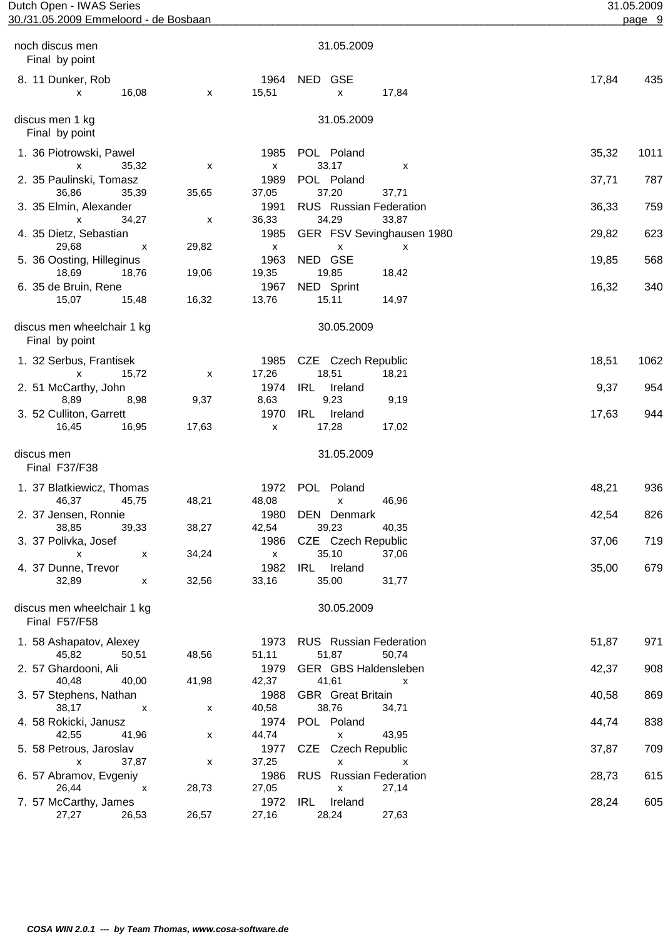| Dutch Open - IWAS Series<br>30./31.05.2009 Emmeloord - de Bosbaan |            |                                     |                                                                | 31.05.2009<br>page 9 |
|-------------------------------------------------------------------|------------|-------------------------------------|----------------------------------------------------------------|----------------------|
|                                                                   |            |                                     |                                                                |                      |
| noch discus men<br>Final by point                                 |            |                                     | 31.05.2009                                                     |                      |
| 8. 11 Dunker, Rob<br>16,08<br>X                                   | X          | 1964<br>15,51                       | NED GSE<br>17,84<br>X                                          | 17,84<br>435         |
| discus men 1 kg<br>Final by point                                 |            |                                     | 31.05.2009                                                     |                      |
| 1. 36 Piotrowski, Pawel                                           |            | 1985                                | POL Poland                                                     | 35,32<br>1011        |
| X<br>35,32<br>2. 35 Paulinski, Tomasz<br>36,86<br>35,39           | X<br>35,65 | $\pmb{\mathsf{X}}$<br>1989<br>37,05 | 33,17<br>х<br>POL Poland<br>37,20<br>37,71                     | 787<br>37,71         |
| 3. 35 Elmin, Alexander                                            |            | 1991                                | RUS Russian Federation                                         | 36,33<br>759         |
| 34,27<br>x<br>4. 35 Dietz, Sebastian                              | х          | 36,33<br>1985                       | 34,29<br>33,87<br>GER FSV Sevinghausen 1980                    | 29,82<br>623         |
| 29,68<br>x<br>5. 36 Oosting, Hilleginus                           | 29,82      | $\pmb{\mathsf{X}}$<br>1963          | $\pmb{\mathsf{X}}$<br>X<br>NED GSE                             | 19,85<br>568         |
| 18,69<br>18,76<br>6. 35 de Bruin, Rene                            | 19,06      | 19,35<br>1967                       | 19,85<br>18,42<br>NED Sprint                                   | 16,32<br>340         |
| 15,07<br>15,48                                                    | 16,32      | 13,76                               | 15,11<br>14,97                                                 |                      |
| discus men wheelchair 1 kg<br>Final by point                      |            |                                     | 30.05.2009                                                     |                      |
| 1. 32 Serbus, Frantisek<br>15,72<br>x                             | X          | 1985<br>17,26                       | CZE Czech Republic<br>18,51<br>18,21                           | 18,51<br>1062        |
| 2. 51 McCarthy, John<br>8,89<br>8,98                              | 9,37       | 1974<br>8,63                        | <b>IRL</b><br>Ireland<br>9,23<br>9,19                          | 9,37<br>954          |
| 3. 52 Culliton, Garrett                                           | 17,63      | 1970                                | <b>IRL</b><br>Ireland                                          | 17,63<br>944         |
| 16,95<br>16,45                                                    |            | $\pmb{\chi}$                        | 17,28<br>17,02                                                 |                      |
| discus men<br>Final F37/F38                                       |            |                                     | 31.05.2009                                                     |                      |
| 1. 37 Blatkiewicz, Thomas<br>46,37 45,75                          | 48,21      | 48,08                               | 1972 POL Poland<br>46,96                                       | 48,21<br>936         |
| 2. 37 Jensen, Ronnie<br>38,85<br>39,33                            | 38,27      | 1980<br>42,54                       | DEN Denmark<br>39,23<br>40,35                                  | 42,54<br>826         |
| 3. 37 Polivka, Josef<br>$\boldsymbol{\mathsf{x}}$<br>х            | 34,24      | 1986<br>$\mathsf{x}$                | CZE Czech Republic<br>35,10<br>37,06                           | 37,06<br>719         |
| 4. 37 Dunne, Trevor<br>32,89<br>X                                 | 32,56      | 1982<br>33,16                       | IRL Ireland<br>35,00<br>31,77                                  | 679<br>35,00         |
| discus men wheelchair 1 kg<br>Final F57/F58                       |            |                                     | 30.05.2009                                                     |                      |
| 1. 58 Ashapatov, Alexey                                           |            | 1973                                | <b>RUS</b> Russian Federation                                  | 51,87<br>971         |
| 45,82<br>50,51<br>2. 57 Ghardooni, Ali                            | 48,56      | 51,11<br>1979                       | 51,87<br>50,74<br>GER GBS Haldensleben                         | 908<br>42,37         |
| 40,48<br>40,00<br>3. 57 Stephens, Nathan                          | 41,98      | 42,37<br>1988                       | 41,61<br>$\boldsymbol{\mathsf{x}}$<br><b>GBR</b> Great Britain | 40,58<br>869         |
| 38,17<br>$\mathsf{X}$<br>4. 58 Rokicki, Janusz                    | х          | 40,58<br>1974                       | 38,76<br>34,71<br>POL Poland                                   | 838<br>44,74         |
| 42,55<br>41,96<br>5. 58 Petrous, Jaroslav                         | X          | 44,74<br>1977                       | 43,95<br>$\mathsf{x}$<br>CZE Czech Republic                    | 37,87<br>709         |
| $\mathsf{x}$<br>37,87<br>6. 57 Abramov, Evgeniy                   | X          | 37,25<br>1986                       | X<br>$\mathsf{x}$<br><b>RUS</b> Russian Federation             | 28,73<br>615         |
| 26,44<br>$\mathsf{X}$<br>7. 57 McCarthy, James                    | 28,73      | 27,05                               | 27,14<br>X<br>1972 IRL<br>Ireland                              | 28,24<br>605         |

27,27 26,53 26,57 27,16 28,24 27,63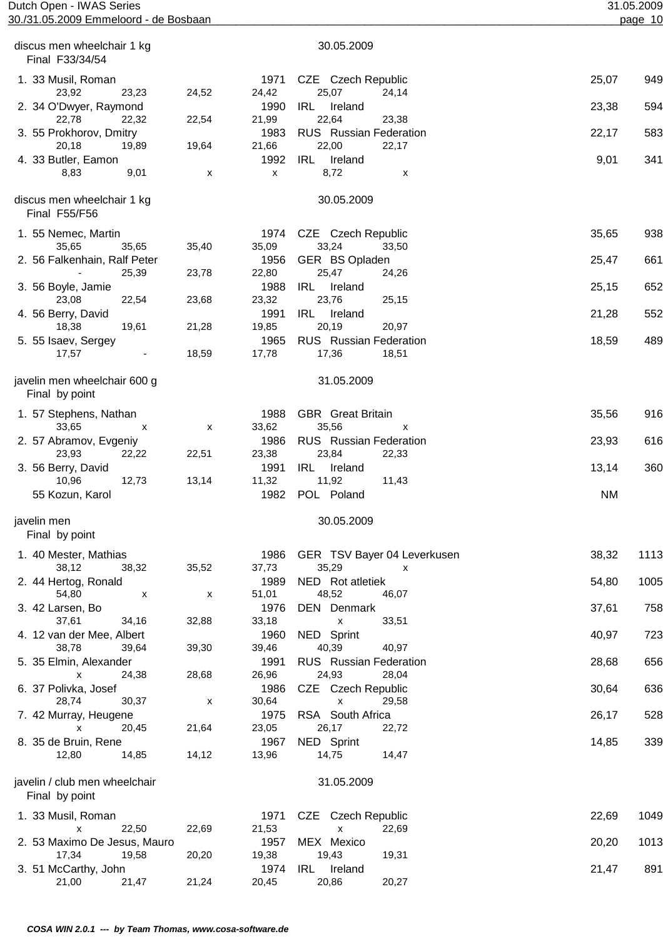| Dutch Open - IWAS Series<br>30./31.05.2009 Emmeloord - de Bosbaan |       |                    |                                             |           | 31.05.2009<br>page 10 |
|-------------------------------------------------------------------|-------|--------------------|---------------------------------------------|-----------|-----------------------|
|                                                                   |       |                    |                                             |           |                       |
| discus men wheelchair 1 kg<br>Final F33/34/54                     |       |                    | 30.05.2009                                  |           |                       |
| 1. 33 Musil, Roman<br>23,23<br>23,92                              | 24,52 | 1971<br>24,42      | CZE Czech Republic<br>25,07<br>24,14        | 25,07     | 949                   |
| 2. 34 O'Dwyer, Raymond<br>22,78<br>22,32                          | 22,54 | 1990<br>21,99      | IRL<br>Ireland<br>22,64<br>23,38            | 23,38     | 594                   |
| 3. 55 Prokhorov, Dmitry                                           |       | 1983               | RUS Russian Federation<br>22,17             | 22,17     | 583                   |
| 20,18<br>19,89<br>4. 33 Butler, Eamon                             | 19,64 | 21,66<br>1992      | 22,00<br>IRL<br>Ireland                     | 9,01      | 341                   |
| 8,83<br>9,01                                                      | X     | $\pmb{\mathsf{X}}$ | 8,72<br>х                                   |           |                       |
| discus men wheelchair 1 kg<br>Final F55/F56                       |       |                    | 30.05.2009                                  |           |                       |
| 1. 55 Nemec, Martin<br>35,65<br>35,65                             | 35,40 | 1974<br>35,09      | CZE Czech Republic<br>33,24<br>33,50        | 35,65     | 938                   |
| 2. 56 Falkenhain, Ralf Peter                                      |       | 1956               | GER BS Opladen                              | 25,47     | 661                   |
| 25,39                                                             | 23,78 | 22,80              | 25,47<br>24,26                              |           |                       |
| 3. 56 Boyle, Jamie                                                |       | 1988               | IRL<br>Ireland<br>23,76                     | 25,15     | 652                   |
| 23,08<br>22,54<br>4. 56 Berry, David                              | 23,68 | 23,32<br>1991      | 25,15<br>IRL<br>Ireland                     | 21,28     | 552                   |
| 18,38<br>19,61                                                    | 21,28 | 19,85              | 20,19<br>20,97                              |           |                       |
| 5. 55 Isaev, Sergey                                               |       | 1965               | <b>RUS</b> Russian Federation               | 18,59     | 489                   |
| 17,57<br>$\overline{\phantom{a}}$                                 | 18,59 | 17,78              | 17,36<br>18,51                              |           |                       |
| javelin men wheelchair 600 g<br>Final by point                    |       |                    | 31.05.2009                                  |           |                       |
| 1. 57 Stephens, Nathan                                            |       | 1988               | <b>GBR</b> Great Britain                    | 35,56     | 916                   |
| 33,65<br>X                                                        | X     | 33,62              | 35,56<br>X<br><b>RUS</b> Russian Federation |           |                       |
| 2. 57 Abramov, Evgeniy<br>23,93<br>22,22                          | 22,51 | 1986<br>23,38      | 23,84<br>22,33                              | 23,93     | 616                   |
| 3. 56 Berry, David                                                |       | 1991               | <b>IRL</b><br>Ireland                       | 13,14     | 360                   |
| 10,96<br>12,73<br>55 Kozun, Karol                                 | 13,14 | 11,32<br>1982      | 11,92<br>11,43<br>POL Poland                | <b>NM</b> |                       |
| javelin men<br>Final by point                                     |       |                    | 30.05.2009                                  |           |                       |
| 1. 40 Mester, Mathias                                             |       | 1986               | GER TSV Bayer 04 Leverkusen                 | 38,32     | 1113                  |
| 38,12<br>38,32                                                    | 35,52 | 37,73              | 35,29<br>$\boldsymbol{\mathsf{x}}$          |           |                       |
| 2. 44 Hertog, Ronald                                              |       | 1989               | NED Rot atletiek                            | 54,80     | 1005                  |
| 54,80<br>X                                                        | X     | 51,01              | 48,52<br>46,07                              |           |                       |
| 3. 42 Larsen, Bo<br>37,61<br>34,16                                | 32,88 | 1976<br>33,18      | <b>DEN</b> Denmark<br>33,51<br>X            | 37,61     | 758                   |
| 4. 12 van der Mee, Albert                                         |       | 1960               | NED Sprint                                  | 40,97     | 723                   |
| 38,78<br>39,64                                                    | 39,30 | 39,46              | 40,39<br>40,97                              |           |                       |
| 5. 35 Elmin, Alexander                                            |       | 1991               | <b>RUS</b> Russian Federation               | 28,68     | 656                   |
| 24,38<br>x                                                        | 28,68 | 26,96              | 24,93<br>28,04                              |           |                       |
| 6. 37 Polivka, Josef                                              |       | 1986               | CZE Czech Republic                          | 30,64     | 636                   |
| 28,74<br>30,37                                                    | X     | 30,64              | 29,58<br>X                                  |           |                       |
| 7. 42 Murray, Heugene                                             |       | 1975               | RSA South Africa                            | 26,17     | 528                   |
| 20,45<br>x                                                        | 21,64 | 23,05              | 26,17<br>22,72                              |           |                       |
| 8. 35 de Bruin, Rene<br>12,80<br>14,85                            | 14,12 | 1967<br>13,96      | NED Sprint<br>14,75<br>14,47                | 14,85     | 339                   |
| javelin / club men wheelchair<br>Final by point                   |       |                    | 31.05.2009                                  |           |                       |
| 1. 33 Musil, Roman                                                |       | 1971               | CZE<br>Czech Republic                       | 22,69     | 1049                  |
| 22,50<br>x                                                        | 22,69 | 21,53              | X<br>22,69                                  |           |                       |
| 2. 53 Maximo De Jesus, Mauro<br>17,34<br>19,58                    | 20,20 | 1957<br>19,38      | MEX Mexico<br>19,43<br>19,31                | 20,20     | 1013                  |
| 3. 51 McCarthy, John                                              |       | 1974               | Ireland<br>IRL                              | 21,47     | 891                   |
| 21,00<br>21,47                                                    | 21,24 | 20,45              | 20,86<br>20,27                              |           |                       |
|                                                                   |       |                    |                                             |           |                       |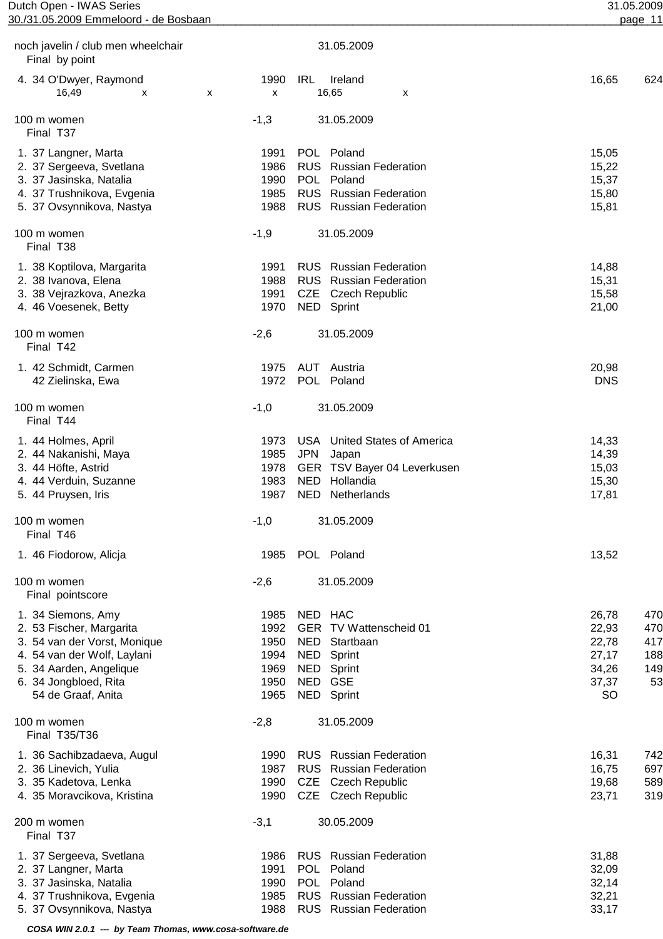| noch javelin / club men wheelchair<br>Final by point                                                                                                                                    |                                                      | 31.05.2009                                                                                                                                        |                                                                                                          |
|-----------------------------------------------------------------------------------------------------------------------------------------------------------------------------------------|------------------------------------------------------|---------------------------------------------------------------------------------------------------------------------------------------------------|----------------------------------------------------------------------------------------------------------|
| 4. 34 O'Dwyer, Raymond<br>16,49<br>X                                                                                                                                                    | 1990<br>x<br>х                                       | IRL<br>Ireland<br>16,65<br>X                                                                                                                      | 16,65<br>624                                                                                             |
| 100 m women<br>Final T37                                                                                                                                                                | $-1,3$                                               | 31.05.2009                                                                                                                                        |                                                                                                          |
| 1. 37 Langner, Marta<br>2. 37 Sergeeva, Svetlana<br>3. 37 Jasinska, Natalia<br>4. 37 Trushnikova, Evgenia<br>5. 37 Ovsynnikova, Nastya                                                  | 1991<br>1986<br>1990<br>1985<br>1988                 | POL Poland<br><b>RUS</b> Russian Federation<br>POL Poland<br><b>RUS</b> Russian Federation<br><b>RUS</b> Russian Federation                       | 15,05<br>15,22<br>15,37<br>15,80<br>15,81                                                                |
| 100 m women<br>Final T38                                                                                                                                                                | $-1,9$                                               | 31.05.2009                                                                                                                                        |                                                                                                          |
| 1. 38 Koptilova, Margarita<br>2. 38 Ivanova, Elena<br>3. 38 Vejrazkova, Anezka<br>4. 46 Voesenek, Betty                                                                                 | 1991<br>1988<br>1991<br>1970                         | <b>RUS</b> Russian Federation<br><b>RUS</b> Russian Federation<br>CZE Czech Republic<br>NED Sprint                                                | 14,88<br>15,31<br>15,58<br>21,00                                                                         |
| 100 m women<br>Final T42                                                                                                                                                                | $-2,6$                                               | 31.05.2009                                                                                                                                        |                                                                                                          |
| 1. 42 Schmidt, Carmen<br>42 Zielinska, Ewa                                                                                                                                              | 1975<br>1972                                         | AUT Austria<br>POL Poland                                                                                                                         | 20,98<br><b>DNS</b>                                                                                      |
| 100 m women<br>Final T44                                                                                                                                                                | $-1,0$                                               | 31.05.2009                                                                                                                                        |                                                                                                          |
| 1. 44 Holmes, April<br>2. 44 Nakanishi, Maya<br>3. 44 Höfte, Astrid<br>4. 44 Verduin, Suzanne<br>5. 44 Pruysen, Iris                                                                    | 1973<br>1985<br>1978<br>1983<br>1987                 | <b>USA</b> United States of America<br><b>JPN</b><br>Japan<br>GER TSV Bayer 04 Leverkusen<br>Hollandia<br><b>NED</b><br><b>NED</b><br>Netherlands | 14,33<br>14,39<br>15,03<br>15,30<br>17,81                                                                |
| 100 m women<br>Final T46                                                                                                                                                                | $-1,0$                                               | 31.05.2009                                                                                                                                        |                                                                                                          |
| 1. 46 Fiodorow, Alicja                                                                                                                                                                  | 1985                                                 | POL Poland                                                                                                                                        | 13,52                                                                                                    |
| 100 m women<br>Final pointscore                                                                                                                                                         | $-2,6$                                               | 31.05.2009                                                                                                                                        |                                                                                                          |
| 1. 34 Siemons, Amy<br>2. 53 Fischer, Margarita<br>3. 54 van der Vorst, Monique<br>4. 54 van der Wolf, Laylani<br>5. 34 Aarden, Angelique<br>6. 34 Jongbloed, Rita<br>54 de Graaf, Anita | 1985<br>1992<br>1950<br>1994<br>1969<br>1950<br>1965 | NED HAC<br>GER TV Wattenscheid 01<br><b>NED</b><br>Startbaan<br>NED<br>Sprint<br>NED<br>Sprint<br>NED GSE<br>NED Sprint                           | 26,78<br>470<br>22,93<br>470<br>22,78<br>417<br>27,17<br>188<br>34,26<br>149<br>37,37<br>53<br><b>SO</b> |
| 100 m women<br>Final T35/T36                                                                                                                                                            | $-2,8$                                               | 31.05.2009                                                                                                                                        |                                                                                                          |
| 1. 36 Sachibzadaeva, Augul<br>2. 36 Linevich, Yulia<br>3. 35 Kadetova, Lenka<br>4. 35 Moravcikova, Kristina                                                                             | 1990<br>1987<br>1990<br>1990                         | <b>RUS</b> Russian Federation<br><b>RUS</b> Russian Federation<br>CZE Czech Republic<br>CZE Czech Republic                                        | 16,31<br>742<br>16,75<br>697<br>19,68<br>589<br>23,71<br>319                                             |
| 200 m women<br>Final T37                                                                                                                                                                | $-3,1$                                               | 30.05.2009                                                                                                                                        |                                                                                                          |
| 1. 37 Sergeeva, Svetlana<br>2. 37 Langner, Marta<br>3. 37 Jasinska, Natalia<br>4. 37 Trushnikova, Evgenia<br>5. 37 Ovsynnikova, Nastya                                                  | 1986<br>1991<br>1990<br>1985<br>1988                 | <b>RUS</b> Russian Federation<br><b>POL</b><br>Poland<br><b>POL</b><br>Poland<br><b>RUS</b> Russian Federation<br><b>RUS</b> Russian Federation   | 31,88<br>32,09<br>32,14<br>32,21<br>33,17                                                                |

 **COSA WIN 2.0.1 --- by Team Thomas, www.cosa-software.de**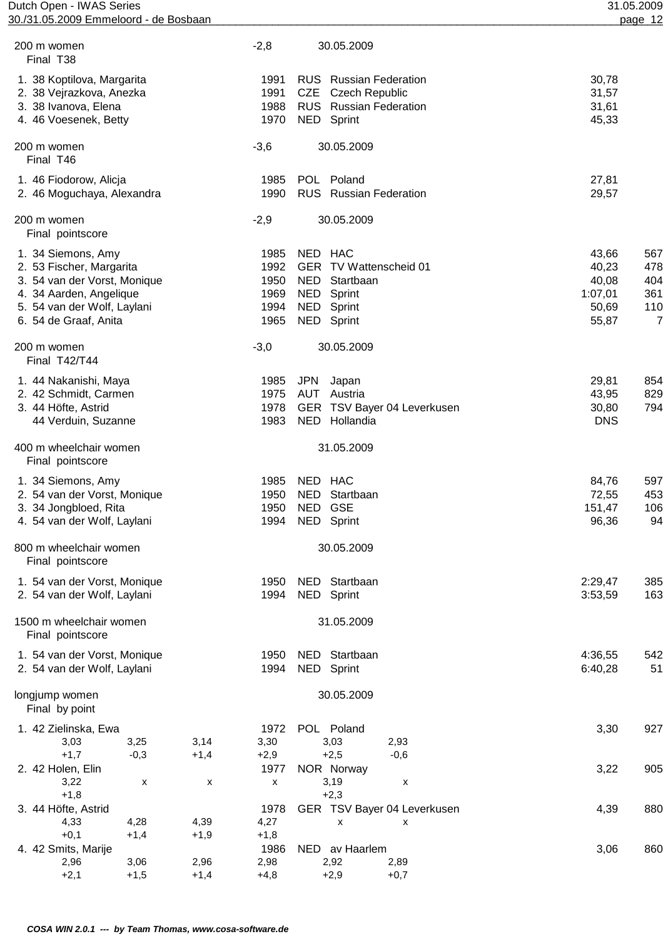| Dutch Open - IWAS Series              | 31.05.2009 |
|---------------------------------------|------------|
| 30./31.05.2009 Emmeloord - de Bosbaan | page 12    |

| 30./31.05.2009 Emmeloord - de Bosbaan       |        |                    |            |                                       |            | page 12               |
|---------------------------------------------|--------|--------------------|------------|---------------------------------------|------------|-----------------------|
| 200 m women<br>Final T <sub>38</sub>        |        | $-2,8$             |            | 30.05.2009                            |            |                       |
| 1. 38 Koptilova, Margarita                  |        | 1991               |            | <b>RUS</b> Russian Federation         | 30,78      |                       |
| 2. 38 Vejrazkova, Anezka                    |        | 1991               | <b>CZE</b> | <b>Czech Republic</b>                 | 31,57      |                       |
| 3. 38 Ivanova, Elena                        |        | 1988               |            | RUS Russian Federation                | 31,61      |                       |
| 4. 46 Voesenek, Betty                       |        | 1970               |            | NED Sprint                            | 45,33      |                       |
| 200 m women<br>Final T46                    |        | $-3,6$             |            | 30.05.2009                            |            |                       |
| 1. 46 Fiodorow, Alicja                      |        | 1985               |            | POL Poland                            | 27,81      |                       |
| 2. 46 Moguchaya, Alexandra                  |        | 1990               |            | RUS Russian Federation                | 29,57      |                       |
| 200 m women<br>Final pointscore             |        | $-2,9$             |            | 30.05.2009                            |            |                       |
| 1. 34 Siemons, Amy                          |        | 1985               | NED HAC    |                                       | 43,66      | 567                   |
| 2. 53 Fischer, Margarita                    |        | 1992               |            | GER TV Wattenscheid 01                | 40,23      | 478                   |
| 3. 54 van der Vorst, Monique                |        | 1950               | NED        | Startbaan                             | 40,08      | 404                   |
| 4. 34 Aarden, Angelique                     |        | 1969               |            | NED Sprint                            | 1:07,01    | 361                   |
| 5. 54 van der Wolf, Laylani                 |        | 1994               |            | NED Sprint                            | 50,69      | 110<br>$\overline{7}$ |
| 6. 54 de Graaf, Anita                       |        | 1965               |            | NED Sprint                            | 55,87      |                       |
| 200 m women<br>Final T42/T44                |        | $-3,0$             |            | 30.05.2009                            |            |                       |
| 1. 44 Nakanishi, Maya                       |        | 1985               | <b>JPN</b> | Japan                                 | 29,81      | 854                   |
| 2. 42 Schmidt, Carmen                       |        | 1975               |            | <b>AUT</b> Austria                    | 43,95      | 829                   |
| 3. 44 Höfte, Astrid                         |        | 1978               |            | GER TSV Bayer 04 Leverkusen           | 30,80      | 794                   |
| 44 Verduin, Suzanne                         |        | 1983               |            | NED Hollandia                         | <b>DNS</b> |                       |
| 400 m wheelchair women<br>Final pointscore  |        |                    |            | 31.05.2009                            |            |                       |
| 1. 34 Siemons, Amy                          |        | 1985               | NED HAC    |                                       | 84,76      | 597                   |
| 2. 54 van der Vorst, Monique                |        | 1950               | NED.       | Startbaan                             | 72,55      | 453                   |
| 3. 34 Jongbloed, Rita                       |        | 1950               |            | NED GSE                               | 151,47     | 106                   |
| 4. 54 van der Wolf, Laylani                 |        | 1994               |            | NED Sprint                            | 96,36      | 94                    |
| 800 m wheelchair women<br>Final pointscore  |        |                    |            | 30.05.2009                            |            |                       |
| 1. 54 van der Vorst, Monique                |        | 1950               |            | NED Startbaan                         | 2:29,47    | 385                   |
| 2. 54 van der Wolf, Laylani                 |        | 1994               |            | NED Sprint                            | 3:53,59    | 163                   |
| 1500 m wheelchair women<br>Final pointscore |        |                    |            | 31.05.2009                            |            |                       |
| 1. 54 van der Vorst, Monique                |        | 1950               | <b>NED</b> | Startbaan                             | 4:36,55    | 542                   |
| 2. 54 van der Wolf, Laylani                 |        | 1994               |            | NED Sprint                            | 6:40,28    | 51                    |
| longjump women<br>Final by point            |        |                    |            | 30.05.2009                            |            |                       |
| 1. 42 Zielinska, Ewa                        |        | 1972               |            | POL Poland                            | 3,30       | 927                   |
| 3,25<br>3,03                                | 3,14   | 3,30               |            | 3,03<br>2,93                          |            |                       |
| $+1,7$<br>$-0,3$                            | $+1,4$ | $+2,9$             |            | $+2,5$<br>$-0,6$                      |            |                       |
| 2. 42 Holen, Elin                           |        | 1977               |            | NOR Norway                            | 3,22       | 905                   |
| 3,22                                        | X<br>X | $\pmb{\mathsf{x}}$ |            | 3,19<br>X                             |            |                       |
| $+1,8$                                      |        |                    |            | $+2,3$                                |            |                       |
| 3. 44 Höfte, Astrid<br>4,28<br>4,33         | 4,39   | 1978<br>4,27       |            | GER TSV Bayer 04 Leverkusen<br>X<br>X | 4,39       | 880                   |
| $+0,1$<br>$+1,4$                            | $+1,9$ | $+1,8$             |            |                                       |            |                       |
| 4. 42 Smits, Marije                         |        | 1986               |            | NED av Haarlem                        | 3,06       | 860                   |
| 3,06<br>2,96                                | 2,96   | 2,98               |            | 2,92<br>2,89                          |            |                       |
| $+2,1$<br>$+1,5$                            | $+1,4$ | $+4,8$             |            | $+2,9$<br>$+0,7$                      |            |                       |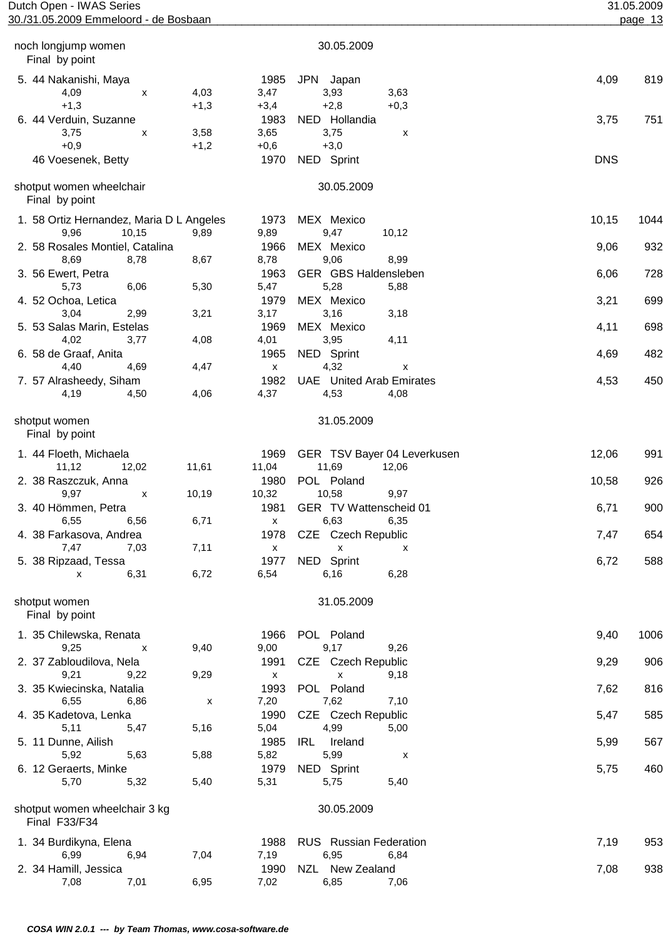| Dutch Open - IWAS Series              | 31.05.2009 |
|---------------------------------------|------------|
| 30./31.05.2009 Emmeloord - de Bosbaan | page 13    |

| 30.05.2009<br>noch longjump women<br>Final by point<br>1985<br><b>JPN</b><br>5. 44 Nakanishi, Maya<br>Japan<br>4,09<br>4,03<br>3,47<br>3,93<br>3,63<br>X<br>$+1,3$<br>$+2,8$<br>$+1,3$<br>$+3,4$<br>$+0,3$<br>6. 44 Verduin, Suzanne<br>1983<br>NED Hollandia<br>3,75<br>3,75<br>3,58<br>3,65<br>X<br>X<br>$+0,9$<br>$+1,2$<br>$+0,6$<br>$+3,0$<br>1970 | 4,09<br>819<br>3,75<br>751<br><b>DNS</b> |
|---------------------------------------------------------------------------------------------------------------------------------------------------------------------------------------------------------------------------------------------------------------------------------------------------------------------------------------------------------|------------------------------------------|
|                                                                                                                                                                                                                                                                                                                                                         |                                          |
|                                                                                                                                                                                                                                                                                                                                                         |                                          |
|                                                                                                                                                                                                                                                                                                                                                         |                                          |
|                                                                                                                                                                                                                                                                                                                                                         |                                          |
|                                                                                                                                                                                                                                                                                                                                                         |                                          |
|                                                                                                                                                                                                                                                                                                                                                         |                                          |
|                                                                                                                                                                                                                                                                                                                                                         |                                          |
| NED Sprint<br>46 Voesenek, Betty                                                                                                                                                                                                                                                                                                                        |                                          |
| shotput women wheelchair<br>30.05.2009<br>Final by point                                                                                                                                                                                                                                                                                                |                                          |
| 1. 58 Ortiz Hernandez, Maria D L Angeles<br>1973<br>MEX Mexico                                                                                                                                                                                                                                                                                          | 10,15<br>1044                            |
| 9,96<br>10,15<br>9,47<br>9,89<br>9,89<br>10,12                                                                                                                                                                                                                                                                                                          |                                          |
| MEX Mexico<br>2. 58 Rosales Montiel, Catalina<br>1966                                                                                                                                                                                                                                                                                                   | 9,06<br>932                              |
| 9,06<br>8,69<br>8,78<br>8,67<br>8,78<br>8,99                                                                                                                                                                                                                                                                                                            |                                          |
| 1963<br>GER GBS Haldensleben<br>3. 56 Ewert, Petra                                                                                                                                                                                                                                                                                                      | 728<br>6,06                              |
| 5,28<br>5,73<br>6,06<br>5,30<br>5,47<br>5,88                                                                                                                                                                                                                                                                                                            |                                          |
| 1979<br>MEX Mexico<br>4. 52 Ochoa, Letica                                                                                                                                                                                                                                                                                                               | 3,21<br>699                              |
| 3,16<br>3,04<br>2,99<br>3,21<br>3,17<br>3,18                                                                                                                                                                                                                                                                                                            |                                          |
| 1969<br>MEX Mexico<br>5. 53 Salas Marin, Estelas                                                                                                                                                                                                                                                                                                        | 698<br>4,11                              |
| 4,02<br>3,77<br>4,08<br>4,01<br>3,95<br>4,11                                                                                                                                                                                                                                                                                                            |                                          |
| 1965<br>NED Sprint<br>6. 58 de Graaf, Anita                                                                                                                                                                                                                                                                                                             | 482<br>4,69                              |
| 4,32<br>4,40<br>4,69<br>4,47<br>$\pmb{\chi}$<br>X                                                                                                                                                                                                                                                                                                       |                                          |
| 1982<br><b>UAE</b> United Arab Emirates<br>7. 57 Alrasheedy, Siham                                                                                                                                                                                                                                                                                      | 4,53<br>450                              |
| 4,19<br>4,50<br>4,06<br>4,37<br>4,53<br>4,08                                                                                                                                                                                                                                                                                                            |                                          |
| 31.05.2009<br>shotput women<br>Final by point                                                                                                                                                                                                                                                                                                           |                                          |
| GER TSV Bayer 04 Leverkusen<br>1. 44 Floeth, Michaela<br>1969                                                                                                                                                                                                                                                                                           | 12,06<br>991                             |
| 11,69<br>11,12<br>12,02<br>11,61<br>11,04<br>12,06                                                                                                                                                                                                                                                                                                      |                                          |
| POL Poland<br>2. 38 Raszczuk, Anna<br>1980                                                                                                                                                                                                                                                                                                              | 10,58<br>926                             |
| 10,58<br>9,97<br>10,19<br>10,32<br>9,97<br>X                                                                                                                                                                                                                                                                                                            |                                          |
| 1981<br>GER TV Wattenscheid 01<br>3. 40 Hömmen, Petra                                                                                                                                                                                                                                                                                                   | 6,71<br>900                              |
| 6,55<br>6,56<br>6,71<br>6,63<br>6,35<br>$\pmb{\mathsf{X}}$                                                                                                                                                                                                                                                                                              |                                          |
| 1978<br>CZE Czech Republic<br>4. 38 Farkasova, Andrea                                                                                                                                                                                                                                                                                                   | 7,47<br>654                              |
| 7,47<br>7,03<br>7,11<br>$\pmb{\mathsf{x}}$<br>$\pmb{\mathsf{X}}$<br>х                                                                                                                                                                                                                                                                                   |                                          |
| NED Sprint<br>5. 38 Ripzaad, Tessa<br>1977                                                                                                                                                                                                                                                                                                              | 588<br>6,72                              |
| 6,72<br>6,16<br>6,31<br>6,54<br>6,28<br>X                                                                                                                                                                                                                                                                                                               |                                          |
| 31.05.2009<br>shotput women<br>Final by point                                                                                                                                                                                                                                                                                                           |                                          |
| POL Poland<br>1. 35 Chilewska, Renata<br>1966                                                                                                                                                                                                                                                                                                           | 9,40<br>1006                             |
| 9,17<br>9,25<br>9,40<br>9,00<br>9,26<br>x                                                                                                                                                                                                                                                                                                               |                                          |
| 2. 37 Zabloudilova, Nela<br>CZE Czech Republic<br>1991                                                                                                                                                                                                                                                                                                  | 9,29<br>906                              |
| 9,21<br>9,29<br>9,22<br>$\pmb{\mathsf{x}}$<br>9,18<br>X                                                                                                                                                                                                                                                                                                 |                                          |
| 1993<br>POL Poland<br>3. 35 Kwiecinska, Natalia                                                                                                                                                                                                                                                                                                         | 7,62<br>816                              |
| 7,62<br>6,55<br>6,86<br>7,20<br>7,10<br>X                                                                                                                                                                                                                                                                                                               |                                          |
| 1990<br>CZE Czech Republic<br>4. 35 Kadetova, Lenka                                                                                                                                                                                                                                                                                                     | 5,47<br>585                              |
| 5,11<br>5,47<br>5,16<br>5,04<br>4,99<br>5,00                                                                                                                                                                                                                                                                                                            |                                          |
| 1985<br>IRL<br>5. 11 Dunne, Ailish<br>Ireland                                                                                                                                                                                                                                                                                                           | 567<br>5,99                              |
| 5,63<br>5,88<br>5,99<br>5,92<br>5,82<br>х                                                                                                                                                                                                                                                                                                               |                                          |
| 1979<br>NED Sprint<br>6. 12 Geraerts, Minke<br>5,70<br>5,32<br>5,40<br>5,31<br>5,75<br>5,40                                                                                                                                                                                                                                                             | 5,75<br>460                              |
| shotput women wheelchair 3 kg<br>30.05.2009                                                                                                                                                                                                                                                                                                             |                                          |
| Final F33/F34                                                                                                                                                                                                                                                                                                                                           |                                          |
| 1. 34 Burdikyna, Elena<br>RUS Russian Federation<br>1988                                                                                                                                                                                                                                                                                                | 7,19<br>953                              |
| 6,99<br>6,94<br>7,04<br>7,19<br>6,95<br>6,84                                                                                                                                                                                                                                                                                                            |                                          |
| 2. 34 Hamill, Jessica<br>1990<br>NZL New Zealand                                                                                                                                                                                                                                                                                                        | 938<br>7,08                              |
| 6,95<br>7,08<br>7,01<br>7,02<br>6,85<br>7,06                                                                                                                                                                                                                                                                                                            |                                          |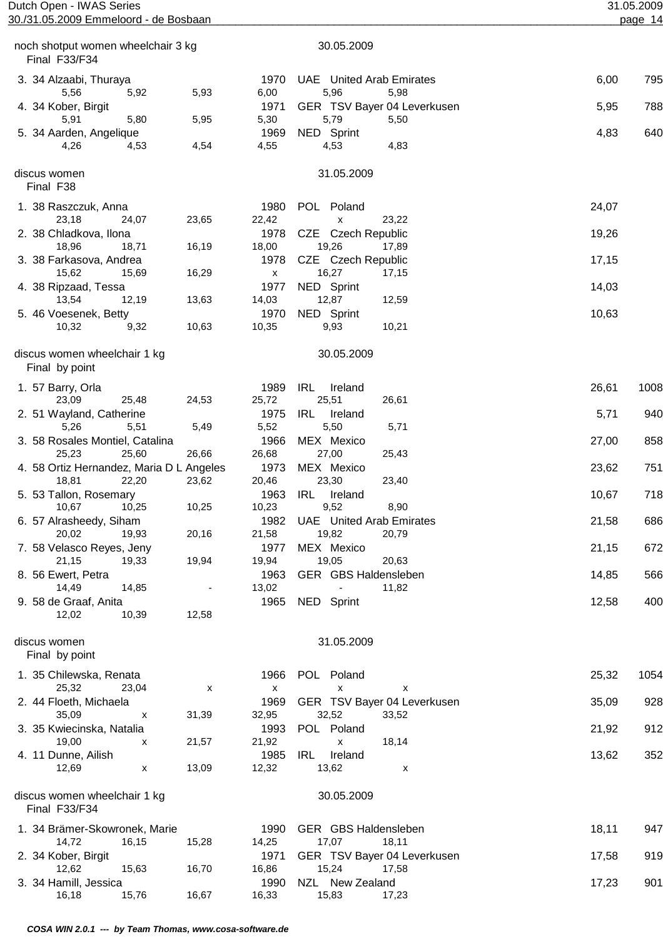| Dutch Open - IWAS Series                                   | 30./31.05.2009 Emmeloord - de Bosbaan |                                   | 31.05.2009<br>page 14                           |       |      |
|------------------------------------------------------------|---------------------------------------|-----------------------------------|-------------------------------------------------|-------|------|
| noch shotput women wheelchair 3 kg                         |                                       |                                   | 30.05.2009                                      |       |      |
| Final F33/F34                                              |                                       |                                   |                                                 |       |      |
| 3. 34 Alzaabi, Thuraya<br>5,56<br>5,92                     | 5,93                                  | 1970<br>6,00                      | <b>UAE</b> United Arab Emirates<br>5,96<br>5,98 | 6,00  | 795  |
| 4. 34 Kober, Birgit                                        |                                       | 1971                              | GER TSV Bayer 04 Leverkusen                     | 5,95  | 788  |
| 5,91<br>5,80<br>5. 34 Aarden, Angelique                    | 5,95                                  | 5,30<br>1969                      | 5,79<br>5,50<br>NED Sprint                      | 4,83  | 640  |
| 4,53<br>4,26                                               | 4,54                                  | 4,55                              | 4,53<br>4,83                                    |       |      |
| discus women<br>Final F38                                  |                                       |                                   | 31.05.2009                                      |       |      |
| 1. 38 Raszczuk, Anna                                       |                                       | 1980                              | POL Poland                                      | 24,07 |      |
| 23,18<br>24,07<br>2. 38 Chladkova, Ilona                   | 23,65                                 | 22,42<br>1978                     | 23,22<br>x<br>CZE Czech Republic                | 19,26 |      |
| 18,96<br>18,71                                             | 16,19                                 | 18,00                             | 19,26<br>17,89                                  |       |      |
| 3. 38 Farkasova, Andrea                                    |                                       | 1978                              | CZE Czech Republic                              | 17,15 |      |
| 15,62<br>15,69<br>4. 38 Ripzaad, Tessa                     | 16,29                                 | X<br>1977                         | 16,27<br>17,15<br>NED Sprint                    | 14,03 |      |
| 13,54<br>12,19                                             | 13,63                                 | 14,03                             | 12,87<br>12,59                                  |       |      |
| 5. 46 Voesenek, Betty                                      |                                       | 1970                              | NED Sprint                                      | 10,63 |      |
| 10,32<br>9,32                                              | 10,63                                 | 10,35                             | 9,93<br>10,21                                   |       |      |
| discus women wheelchair 1 kg<br>Final by point             |                                       |                                   | 30.05.2009                                      |       |      |
| 1. 57 Barry, Orla                                          |                                       | 1989                              | IRL<br>Ireland                                  | 26,61 | 1008 |
| 23,09<br>25,48<br>2. 51 Wayland, Catherine                 | 24,53                                 | 25,72<br>1975                     | 25,51<br>26,61<br>IRL<br>Ireland                | 5,71  | 940  |
| 5,51<br>5,26                                               | 5,49                                  | 5,52                              | 5,50<br>5,71                                    |       |      |
| 3. 58 Rosales Montiel, Catalina                            |                                       | 1966                              | MEX Mexico                                      | 27,00 | 858  |
| 25,23<br>25,60<br>4. 58 Ortiz Hernandez, Maria D L Angeles | 26,66                                 | 26,68<br>1973                     | 27,00<br>25,43<br>MEX Mexico                    | 23,62 | 751  |
| 18,81<br>22,20                                             | 23,62                                 | 20,46                             | 23,30<br>23,40                                  |       |      |
| 5. 53 Tallon, Rosemary                                     |                                       |                                   | 1963 IRL Ireland                                | 10,67 | 718  |
| 10,67<br>10,25<br>6. 57 Alrasheedy, Siham                  | 10,25                                 | 10,23<br>1982                     | 9,52<br>8,90<br><b>UAE</b> United Arab Emirates | 21,58 | 686  |
| 20,02<br>19,93                                             | 20,16                                 | 21,58                             | 19,82<br>20,79                                  |       |      |
| 7. 58 Velasco Reyes, Jeny                                  |                                       | 1977                              | MEX Mexico                                      | 21,15 | 672  |
| 21,15<br>19,33                                             | 19,94                                 | 19,94                             | 19,05<br>20,63                                  |       |      |
| 8. 56 Ewert, Petra<br>14,49<br>14,85                       | $\overline{\phantom{a}}$              | 1963<br>13,02                     | GER GBS Haldensleben<br>11,82<br>$\sim$         | 14,85 | 566  |
| 9. 58 de Graaf, Anita                                      |                                       |                                   | 1965 NED Sprint                                 | 12,58 | 400  |
| 12,02<br>10,39                                             | 12,58                                 |                                   |                                                 |       |      |
| discus women<br>Final by point                             |                                       |                                   | 31.05.2009                                      |       |      |
| 1. 35 Chilewska, Renata                                    |                                       | 1966                              | POL Poland                                      | 25,32 | 1054 |
| 25,32<br>23,04<br>2. 44 Floeth, Michaela                   | х                                     | $\boldsymbol{\mathsf{x}}$<br>1969 | X<br>х<br>GER TSV Bayer 04 Leverkusen           | 35,09 | 928  |
| 35,09<br>x                                                 | 31,39                                 | 32,95                             | 32,52<br>33,52                                  |       |      |
| 3. 35 Kwiecinska, Natalia                                  |                                       | 1993                              | POL Poland                                      | 21,92 | 912  |
| 19,00<br>х<br>4. 11 Dunne, Ailish                          | 21,57                                 | 21,92<br>1985                     | 18,14<br>X<br>IRL<br>Ireland                    | 13,62 | 352  |
| 12,69<br>x                                                 | 13,09                                 | 12,32                             | 13,62<br>X                                      |       |      |
| discus women wheelchair 1 kg<br>Final F33/F34              |                                       |                                   | 30.05.2009                                      |       |      |
| 1. 34 Brämer-Skowronek, Marie                              |                                       | 1990                              | GER GBS Haldensleben                            | 18,11 | 947  |
| 14,72<br>16,15<br>2. 34 Kober, Birgit                      | 15,28                                 | 14,25<br>1971                     | 17,07<br>18,11<br>GER TSV Bayer 04 Leverkusen   | 17,58 | 919  |
| 12,62<br>15,63                                             | 16,70                                 | 16,86                             | 15,24<br>17,58                                  |       |      |
| 3. 34 Hamill, Jessica                                      |                                       | 1990                              | NZL New Zealand                                 | 17,23 | 901  |
| 16,18<br>15,76                                             | 16,67                                 | 16,33                             | 15,83<br>17,23                                  |       |      |